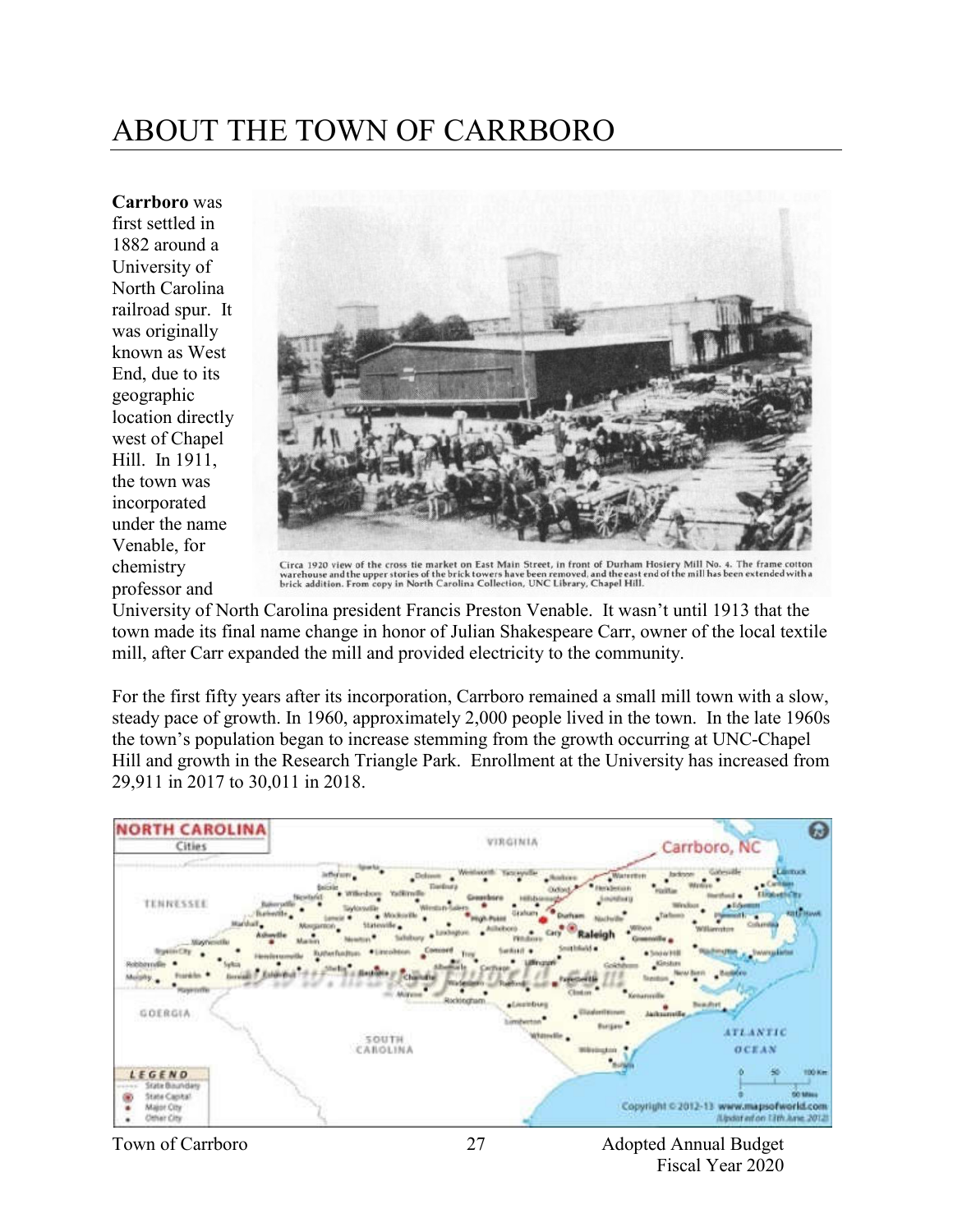# ABOUT THE TOWN OF CARRBORO

**Carrboro** was first settled in 1882 around a University of North Carolina railroad spur. It was originally known as West End, due to its geographic location directly west of Chapel Hill. In 1911, the town was incorporated under the name Venable, for chemistry professor and



Circa 1920 view of the cross tie market on East Main Street, in front of Durham Hosiery Mill No. 4. The frame cotton<br>warehouse and the upper stories of the brick towers have been removed, and the east end of the mill has b

University of North Carolina president Francis Preston Venable. It wasn't until 1913 that the town made its final name change in honor of Julian Shakespeare Carr, owner of the local textile mill, after Carr expanded the mill and provided electricity to the community.

For the first fifty years after its incorporation, Carrboro remained a small mill town with a slow, steady pace of growth. In 1960, approximately 2,000 people lived in the town. In the late 1960s the town's population began to increase stemming from the growth occurring at UNC-Chapel Hill and growth in the Research Triangle Park. Enrollment at the University has increased from 29,911 in 2017 to 30,011 in 2018.

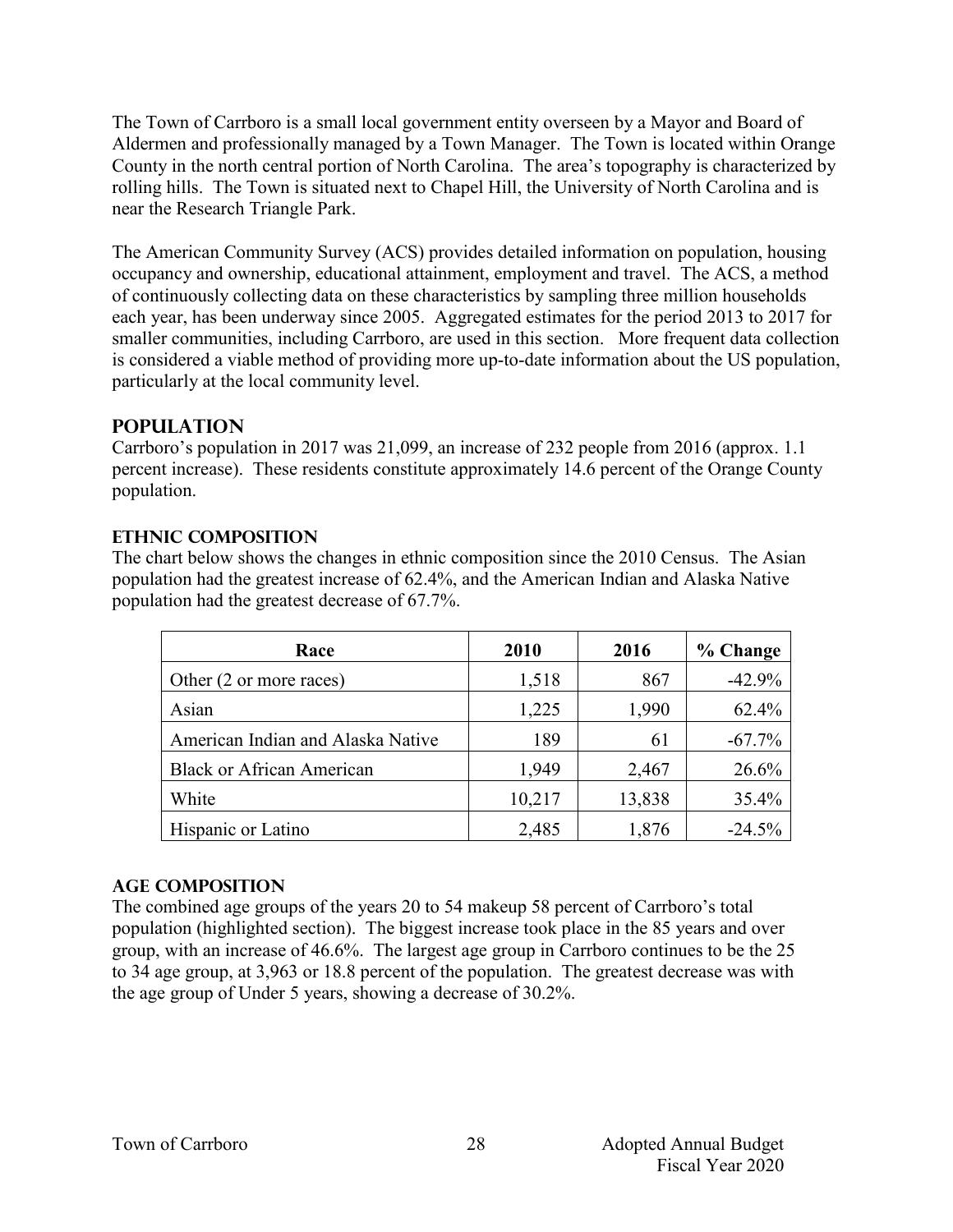The Town of Carrboro is a small local government entity overseen by a Mayor and Board of Aldermen and professionally managed by a Town Manager. The Town is located within Orange County in the north central portion of North Carolina. The area's topography is characterized by rolling hills. The Town is situated next to Chapel Hill, the University of North Carolina and is near the Research Triangle Park.

The American Community Survey (ACS) provides detailed information on population, housing occupancy and ownership, educational attainment, employment and travel. The ACS, a method of continuously collecting data on these characteristics by sampling three million households each year, has been underway since 2005. Aggregated estimates for the period 2013 to 2017 for smaller communities, including Carrboro, are used in this section. More frequent data collection is considered a viable method of providing more up-to-date information about the US population, particularly at the local community level.

## **Population**

Carrboro's population in 2017 was 21,099, an increase of 232 people from 2016 (approx. 1.1 percent increase). These residents constitute approximately 14.6 percent of the Orange County population.

#### **Ethnic Composition**

The chart below shows the changes in ethnic composition since the 2010 Census. The Asian population had the greatest increase of 62.4%, and the American Indian and Alaska Native population had the greatest decrease of 67.7%.

| Race                              | 2010   | 2016   | % Change  |
|-----------------------------------|--------|--------|-----------|
| Other (2 or more races)           | 1,518  | 867    | $-42.9%$  |
| Asian                             | 1,225  | 1,990  | 62.4%     |
| American Indian and Alaska Native | 189    | 61     | $-67.7\%$ |
| <b>Black or African American</b>  | 1,949  | 2,467  | 26.6%     |
| White                             | 10,217 | 13,838 | 35.4%     |
| Hispanic or Latino                | 2,485  | 1,876  | $-24.5%$  |

## **Age Composition**

The combined age groups of the years 20 to 54 makeup 58 percent of Carrboro's total population (highlighted section). The biggest increase took place in the 85 years and over group, with an increase of 46.6%. The largest age group in Carrboro continues to be the 25 to 34 age group, at 3,963 or 18.8 percent of the population. The greatest decrease was with the age group of Under 5 years, showing a decrease of 30.2%.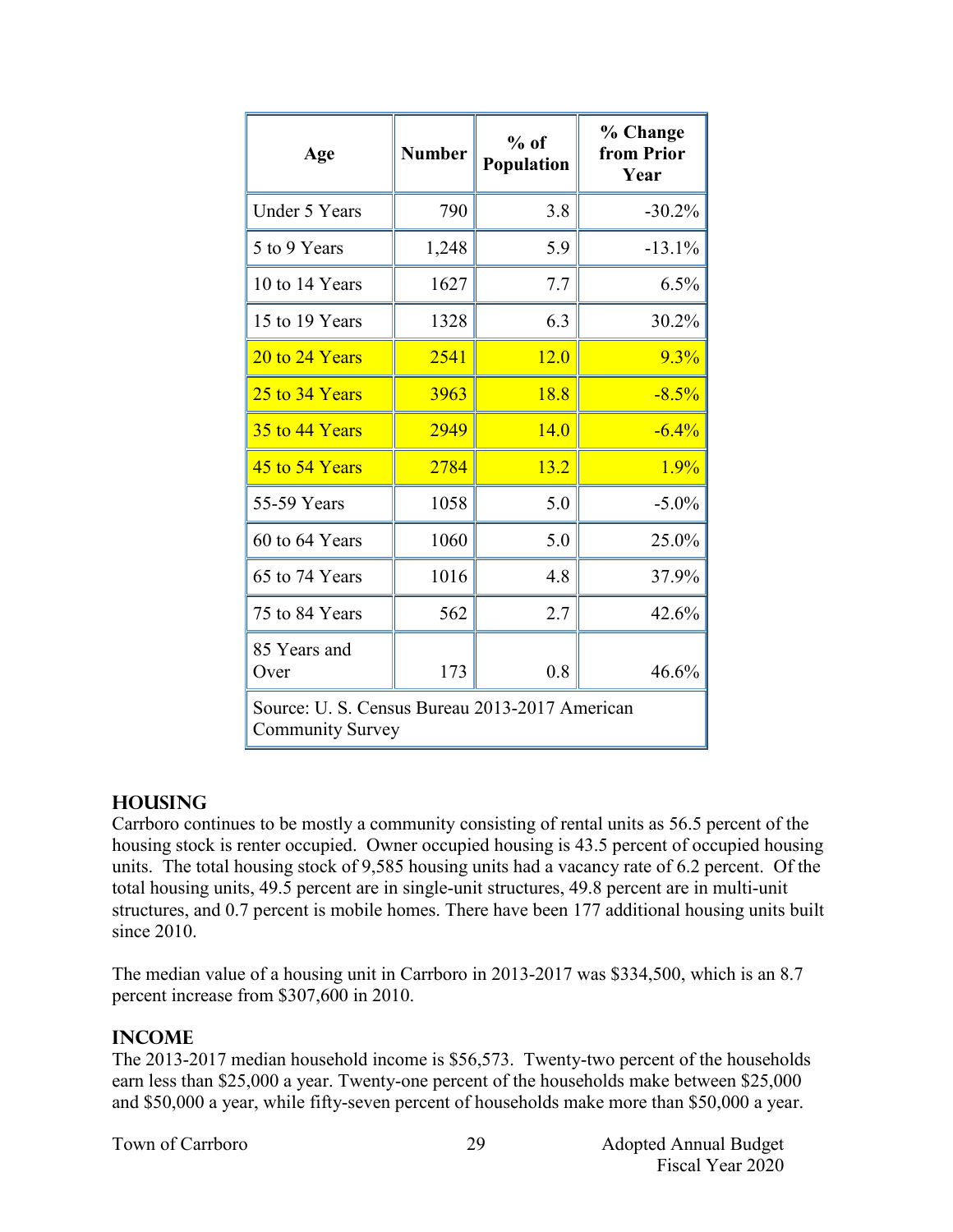| Age                                                                       | <b>Number</b> | $%$ of<br>Population | % Change<br>from Prior<br>Year |
|---------------------------------------------------------------------------|---------------|----------------------|--------------------------------|
| <b>Under 5 Years</b>                                                      | 790           | 3.8                  | $-30.2%$                       |
| 5 to 9 Years                                                              | 1,248         | 5.9                  | $-13.1%$                       |
| 10 to 14 Years                                                            | 1627          | 7.7                  | 6.5%                           |
| 15 to 19 Years                                                            | 1328          | 6.3                  | 30.2%                          |
| 20 to 24 Years                                                            | 2541          | 12.0                 | 9.3%                           |
| 25 to 34 Years                                                            | 3963          | 18.8                 | $-8.5%$                        |
| 35 to 44 Years                                                            | 2949          | 14.0                 | $-6.4%$                        |
| 45 to 54 Years                                                            | 2784          | 13.2                 | 1.9%                           |
| 55-59 Years                                                               | 1058          | 5.0                  | $-5.0\%$                       |
| 60 to 64 Years                                                            | 1060          | 5.0                  | 25.0%                          |
| 65 to 74 Years                                                            | 1016          | 4.8                  | 37.9%                          |
| 75 to 84 Years                                                            | 562           | 2.7                  | 42.6%                          |
| 85 Years and<br>Over                                                      | 173           | 0.8                  | 46.6%                          |
| Source: U. S. Census Bureau 2013-2017 American<br><b>Community Survey</b> |               |                      |                                |

#### **Housing**

Carrboro continues to be mostly a community consisting of rental units as 56.5 percent of the housing stock is renter occupied. Owner occupied housing is 43.5 percent of occupied housing units. The total housing stock of 9,585 housing units had a vacancy rate of 6.2 percent. Of the total housing units, 49.5 percent are in single-unit structures, 49.8 percent are in multi-unit structures, and 0.7 percent is mobile homes. There have been 177 additional housing units built since 2010.

The median value of a housing unit in Carrboro in 2013-2017 was \$334,500, which is an 8.7 percent increase from \$307,600 in 2010.

#### **Income**

The 2013-2017 median household income is \$56,573. Twenty-two percent of the households earn less than \$25,000 a year. Twenty-one percent of the households make between \$25,000 and \$50,000 a year, while fifty-seven percent of households make more than \$50,000 a year.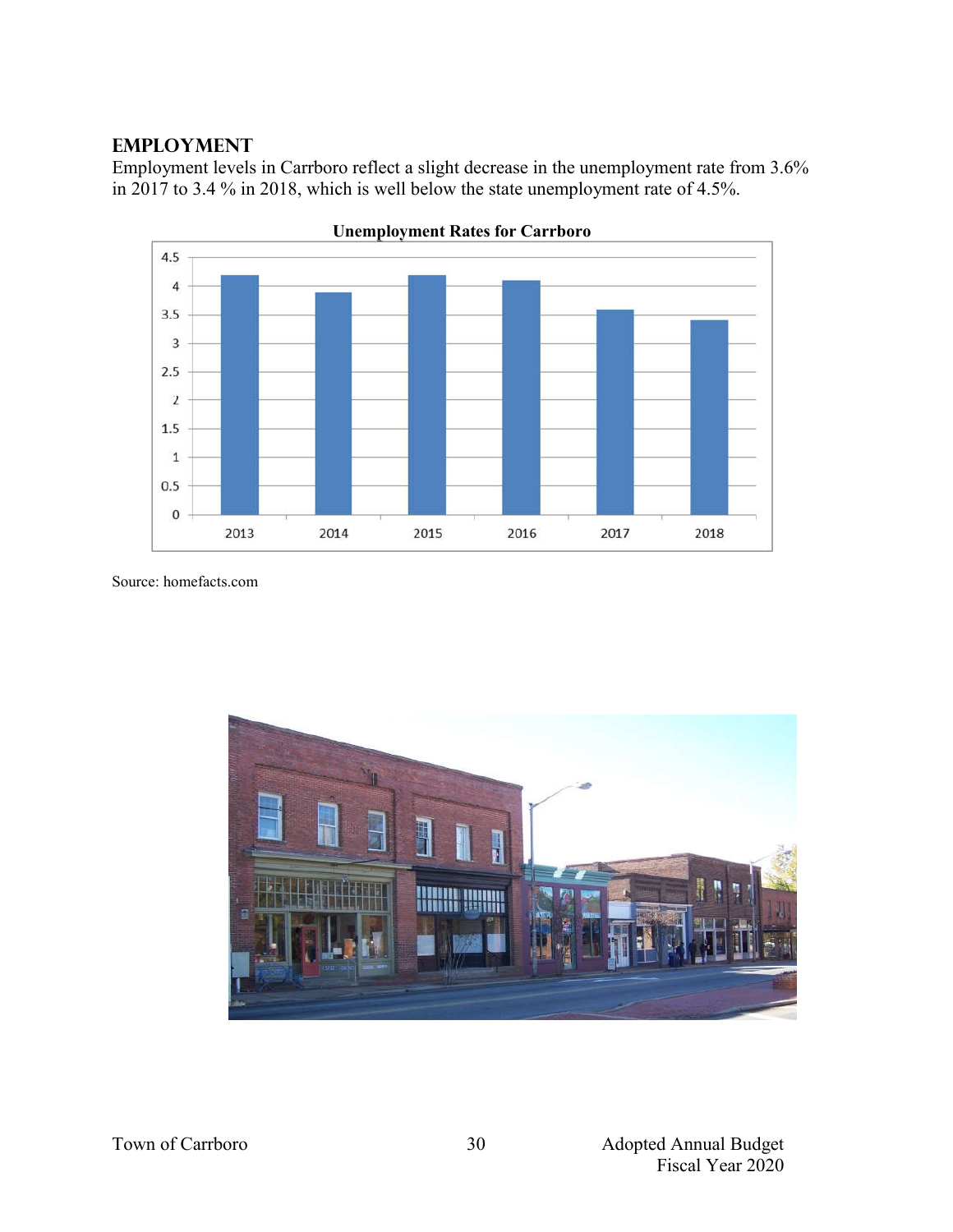#### **Employment**

Employment levels in Carrboro reflect a slight decrease in the unemployment rate from 3.6% in 2017 to 3.4 % in 2018, which is well below the state unemployment rate of 4.5%.



**Unemployment Rates for Carrboro**

Source: homefacts.com

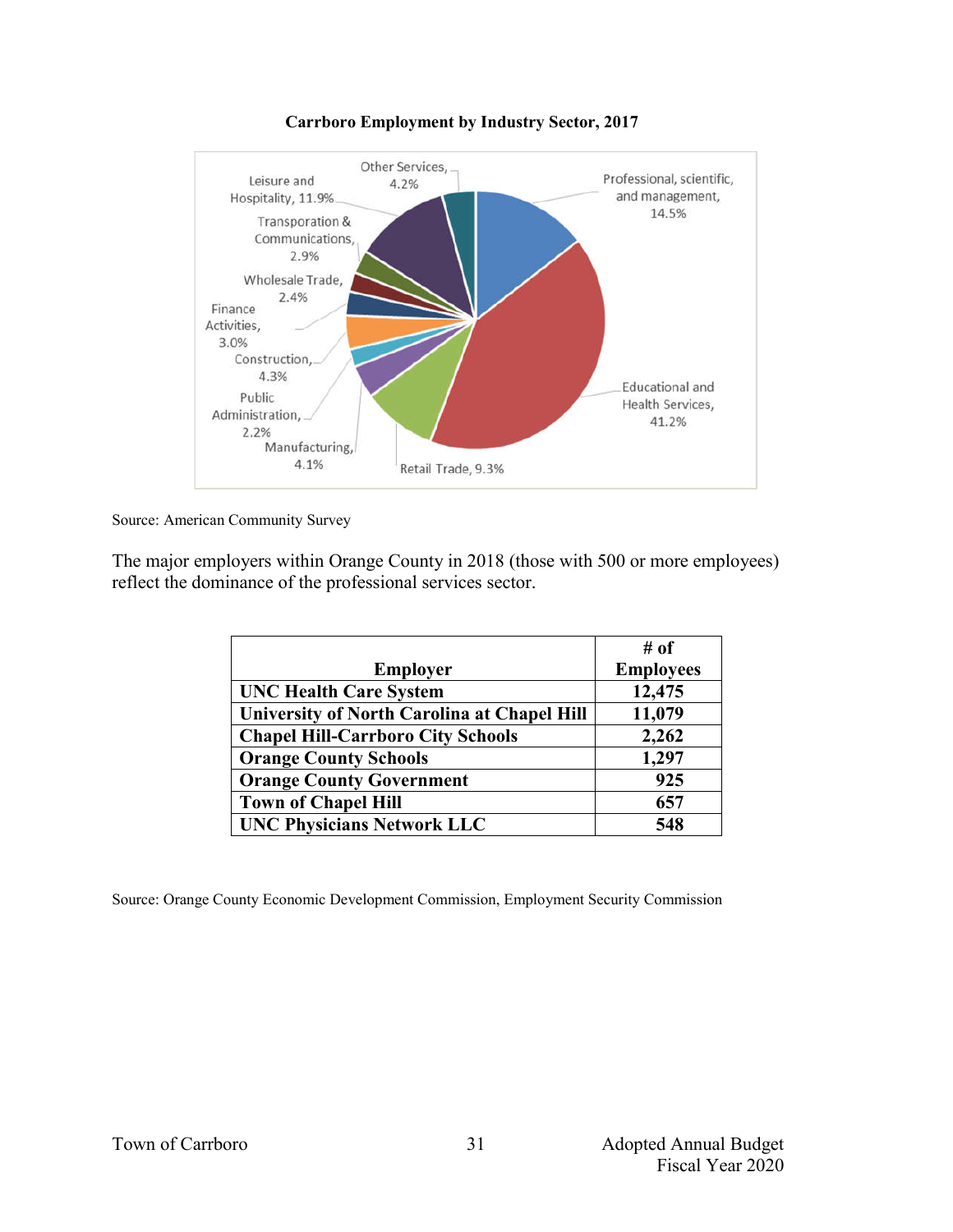



Source: American Community Survey

The major employers within Orange County in 2018 (those with 500 or more employees) reflect the dominance of the professional services sector.

|                                                    | # of             |
|----------------------------------------------------|------------------|
| <b>Employer</b>                                    | <b>Employees</b> |
| <b>UNC Health Care System</b>                      | 12,475           |
| <b>University of North Carolina at Chapel Hill</b> | 11,079           |
| <b>Chapel Hill-Carrboro City Schools</b>           | 2,262            |
| <b>Orange County Schools</b>                       | 1,297            |
| <b>Orange County Government</b>                    | 925              |
| <b>Town of Chapel Hill</b>                         | 657              |
| <b>UNC Physicians Network LLC</b>                  | 548              |

Source: Orange County Economic Development Commission, Employment Security Commission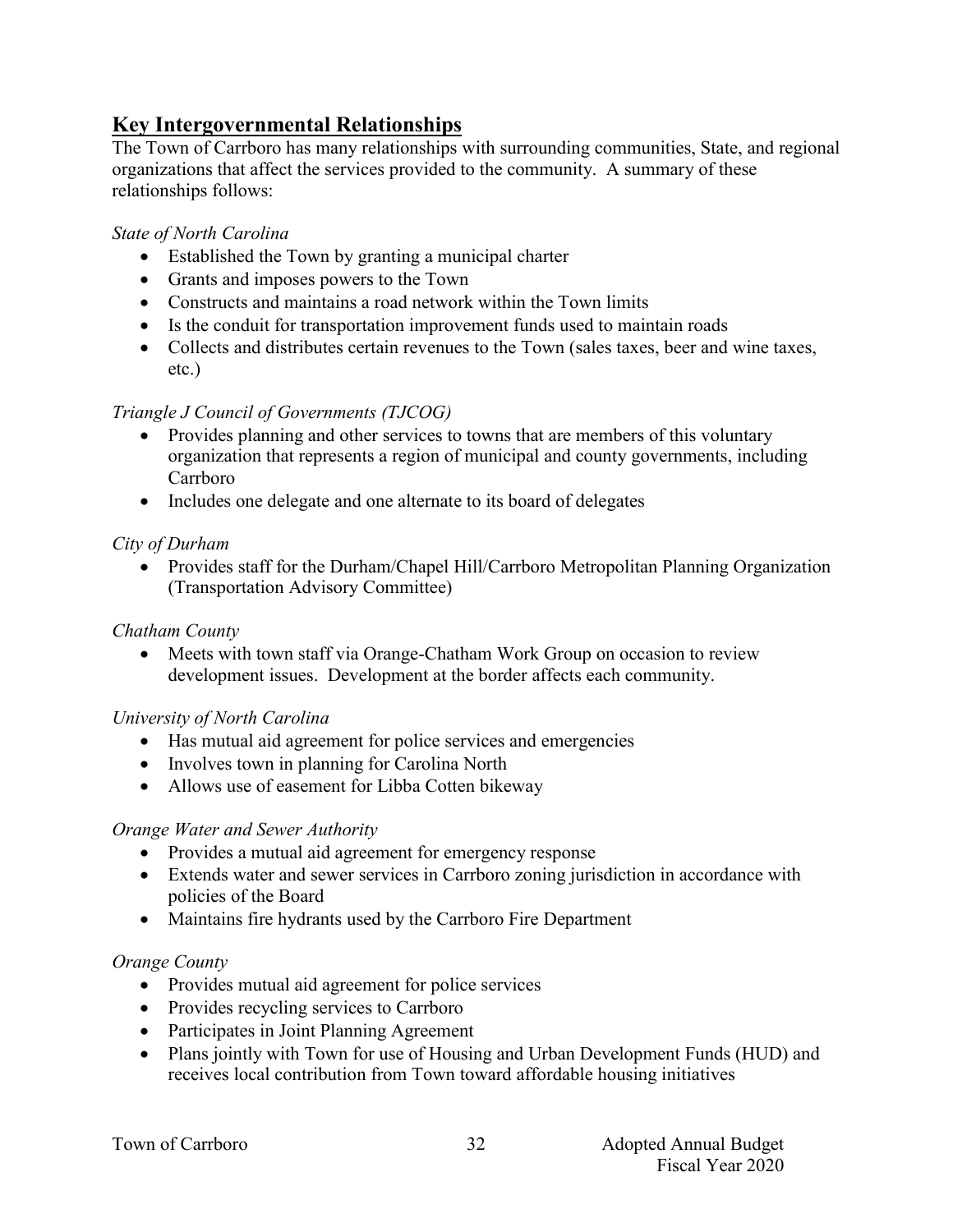## **Key Intergovernmental Relationships**

The Town of Carrboro has many relationships with surrounding communities, State, and regional organizations that affect the services provided to the community. A summary of these relationships follows:

#### *State of North Carolina*

- Established the Town by granting a municipal charter
- Grants and imposes powers to the Town
- Constructs and maintains a road network within the Town limits
- Is the conduit for transportation improvement funds used to maintain roads
- Collects and distributes certain revenues to the Town (sales taxes, beer and wine taxes, etc.)

#### *Triangle J Council of Governments (TJCOG)*

- Provides planning and other services to towns that are members of this voluntary organization that represents a region of municipal and county governments, including Carrboro
- Includes one delegate and one alternate to its board of delegates

## *City of Durham*

• Provides staff for the Durham/Chapel Hill/Carrboro Metropolitan Planning Organization (Transportation Advisory Committee)

#### *Chatham County*

 Meets with town staff via Orange-Chatham Work Group on occasion to review development issues. Development at the border affects each community.

#### *University of North Carolina*

- Has mutual aid agreement for police services and emergencies
- Involves town in planning for Carolina North
- Allows use of easement for Libba Cotten bikeway

#### *Orange Water and Sewer Authority*

- Provides a mutual aid agreement for emergency response
- Extends water and sewer services in Carrboro zoning jurisdiction in accordance with policies of the Board
- Maintains fire hydrants used by the Carrboro Fire Department

#### *Orange County*

- Provides mutual aid agreement for police services
- Provides recycling services to Carrboro
- Participates in Joint Planning Agreement
- Plans jointly with Town for use of Housing and Urban Development Funds (HUD) and receives local contribution from Town toward affordable housing initiatives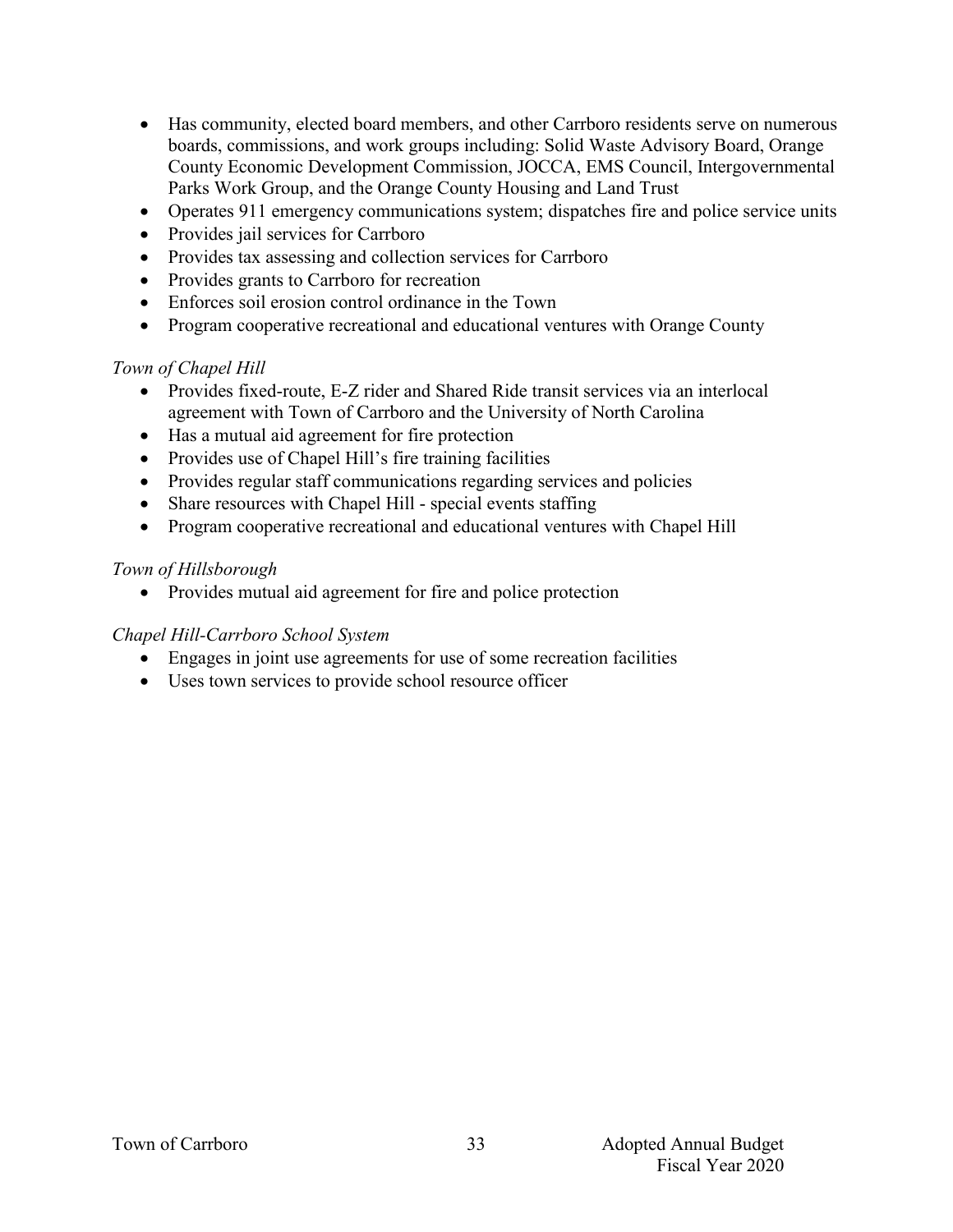- Has community, elected board members, and other Carrboro residents serve on numerous boards, commissions, and work groups including: Solid Waste Advisory Board, Orange County Economic Development Commission, JOCCA, EMS Council, Intergovernmental Parks Work Group, and the Orange County Housing and Land Trust
- Operates 911 emergency communications system; dispatches fire and police service units
- Provides jail services for Carrboro
- Provides tax assessing and collection services for Carrboro
- Provides grants to Carrboro for recreation
- Enforces soil erosion control ordinance in the Town
- Program cooperative recreational and educational ventures with Orange County

#### *Town of Chapel Hill*

- Provides fixed-route, E-Z rider and Shared Ride transit services via an interlocal agreement with Town of Carrboro and the University of North Carolina
- Has a mutual aid agreement for fire protection
- Provides use of Chapel Hill's fire training facilities
- Provides regular staff communications regarding services and policies
- Share resources with Chapel Hill special events staffing
- Program cooperative recreational and educational ventures with Chapel Hill

#### *Town of Hillsborough*

• Provides mutual aid agreement for fire and police protection

#### *Chapel Hill-Carrboro School System*

- Engages in joint use agreements for use of some recreation facilities
- Uses town services to provide school resource officer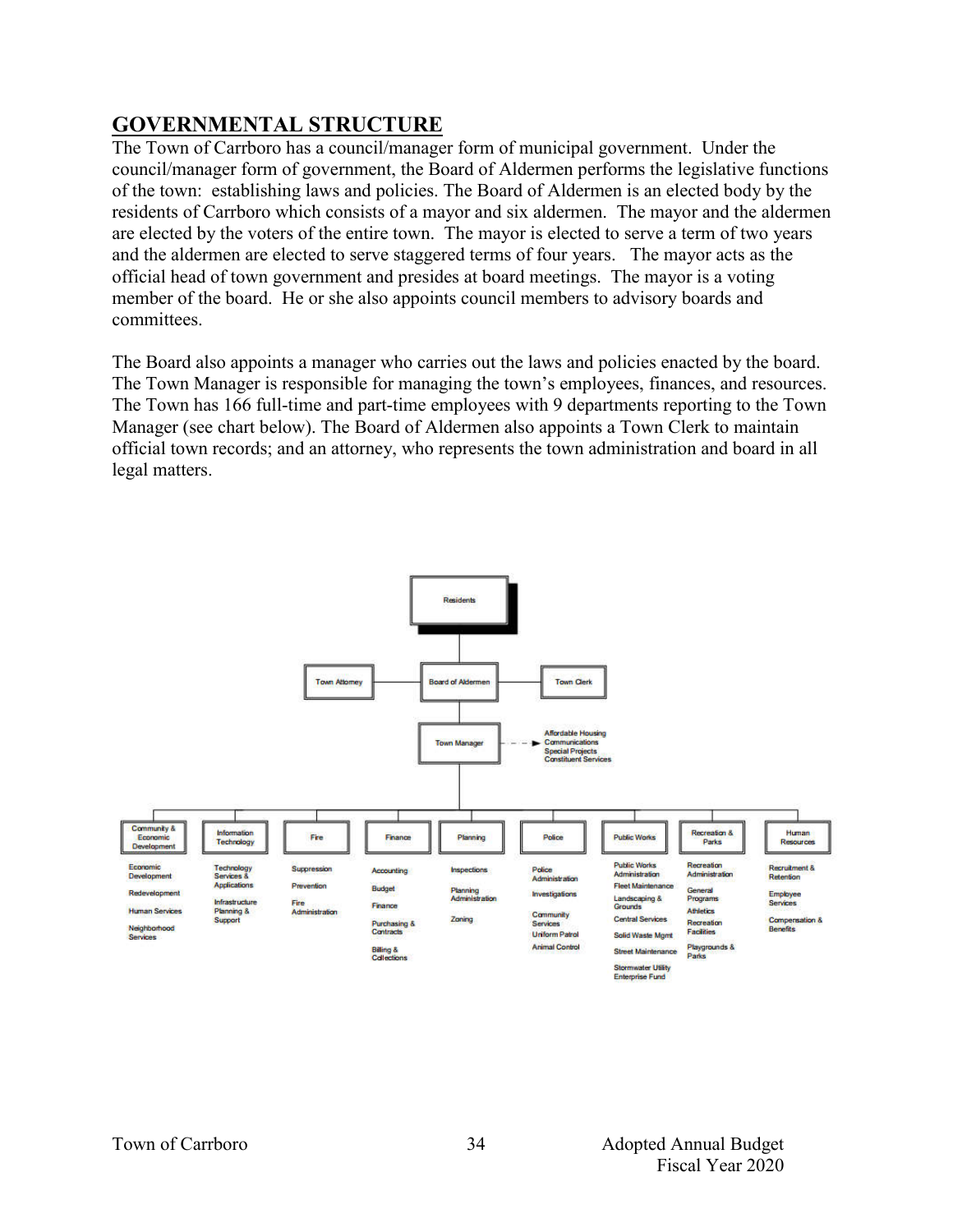# **GOVERNMENTAL STRUCTURE**

The Town of Carrboro has a council/manager form of municipal government. Under the council/manager form of government, the Board of Aldermen performs the legislative functions of the town: establishing laws and policies. The Board of Aldermen is an elected body by the residents of Carrboro which consists of a mayor and six aldermen. The mayor and the aldermen are elected by the voters of the entire town. The mayor is elected to serve a term of two years and the aldermen are elected to serve staggered terms of four years. The mayor acts as the official head of town government and presides at board meetings. The mayor is a voting member of the board. He or she also appoints council members to advisory boards and committees.

The Board also appoints a manager who carries out the laws and policies enacted by the board. The Town Manager is responsible for managing the town's employees, finances, and resources. The Town has 166 full-time and part-time employees with 9 departments reporting to the Town Manager (see chart below). The Board of Aldermen also appoints a Town Clerk to maintain official town records; and an attorney, who represents the town administration and board in all legal matters.

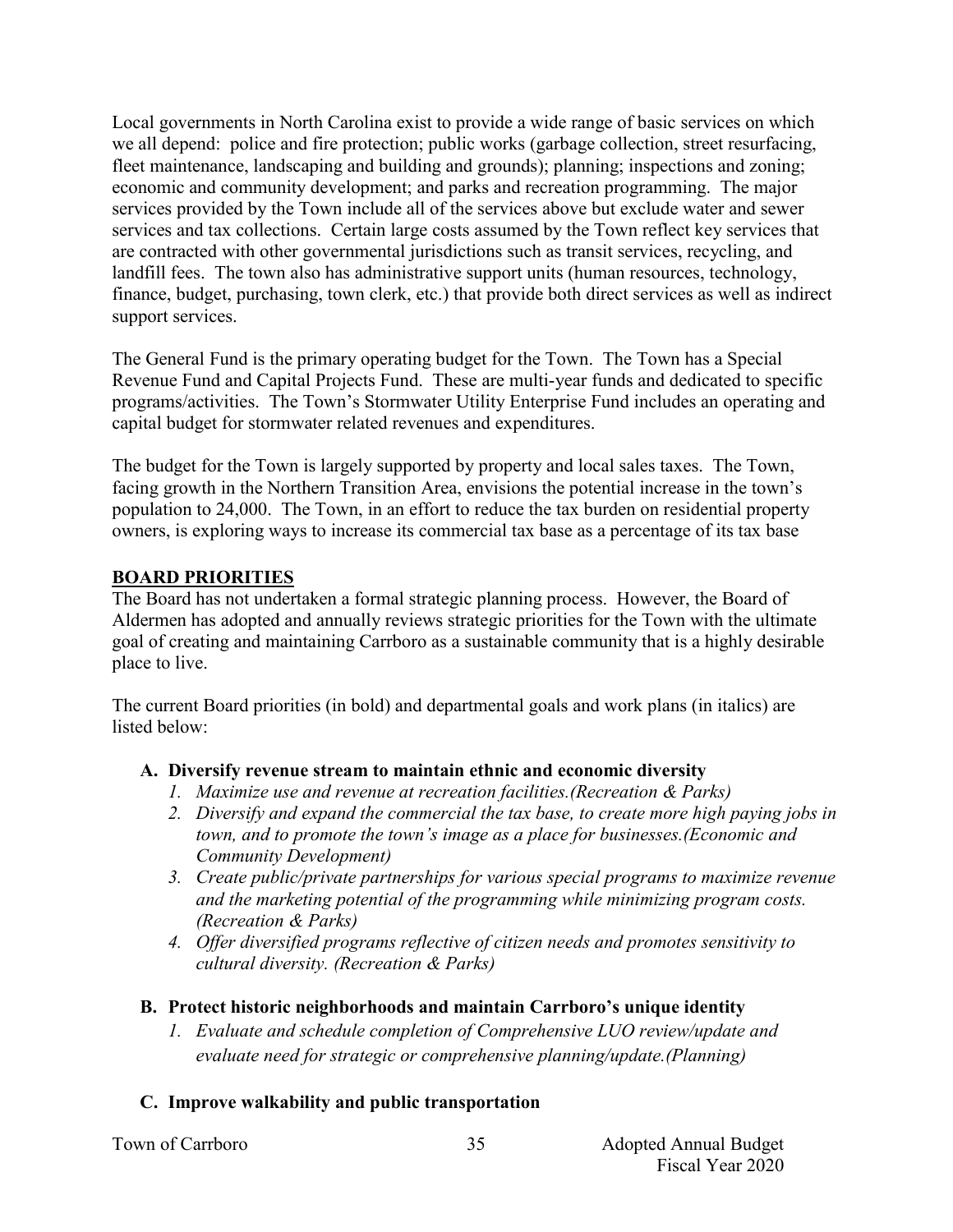Local governments in North Carolina exist to provide a wide range of basic services on which we all depend: police and fire protection; public works (garbage collection, street resurfacing, fleet maintenance, landscaping and building and grounds); planning; inspections and zoning; economic and community development; and parks and recreation programming. The major services provided by the Town include all of the services above but exclude water and sewer services and tax collections. Certain large costs assumed by the Town reflect key services that are contracted with other governmental jurisdictions such as transit services, recycling, and landfill fees. The town also has administrative support units (human resources, technology, finance, budget, purchasing, town clerk, etc.) that provide both direct services as well as indirect support services.

The General Fund is the primary operating budget for the Town. The Town has a Special Revenue Fund and Capital Projects Fund. These are multi-year funds and dedicated to specific programs/activities. The Town's Stormwater Utility Enterprise Fund includes an operating and capital budget for stormwater related revenues and expenditures.

The budget for the Town is largely supported by property and local sales taxes. The Town, facing growth in the Northern Transition Area, envisions the potential increase in the town's population to 24,000. The Town, in an effort to reduce the tax burden on residential property owners, is exploring ways to increase its commercial tax base as a percentage of its tax base

#### **BOARD PRIORITIES**

The Board has not undertaken a formal strategic planning process. However, the Board of Aldermen has adopted and annually reviews strategic priorities for the Town with the ultimate goal of creating and maintaining Carrboro as a sustainable community that is a highly desirable place to live.

The current Board priorities (in bold) and departmental goals and work plans (in italics) are listed below:

#### **A. Diversify revenue stream to maintain ethnic and economic diversity**

- *1. Maximize use and revenue at recreation facilities.(Recreation & Parks)*
- *2. Diversify and expand the commercial the tax base, to create more high paying jobs in town, and to promote the town's image as a place for businesses.(Economic and Community Development)*
- *3. Create public/private partnerships for various special programs to maximize revenue and the marketing potential of the programming while minimizing program costs. (Recreation & Parks)*
- *4. Offer diversified programs reflective of citizen needs and promotes sensitivity to cultural diversity. (Recreation & Parks)*
- **B. Protect historic neighborhoods and maintain Carrboro's unique identity**
	- *1. Evaluate and schedule completion of Comprehensive LUO review/update and evaluate need for strategic or comprehensive planning/update.(Planning)*

## **C. Improve walkability and public transportation**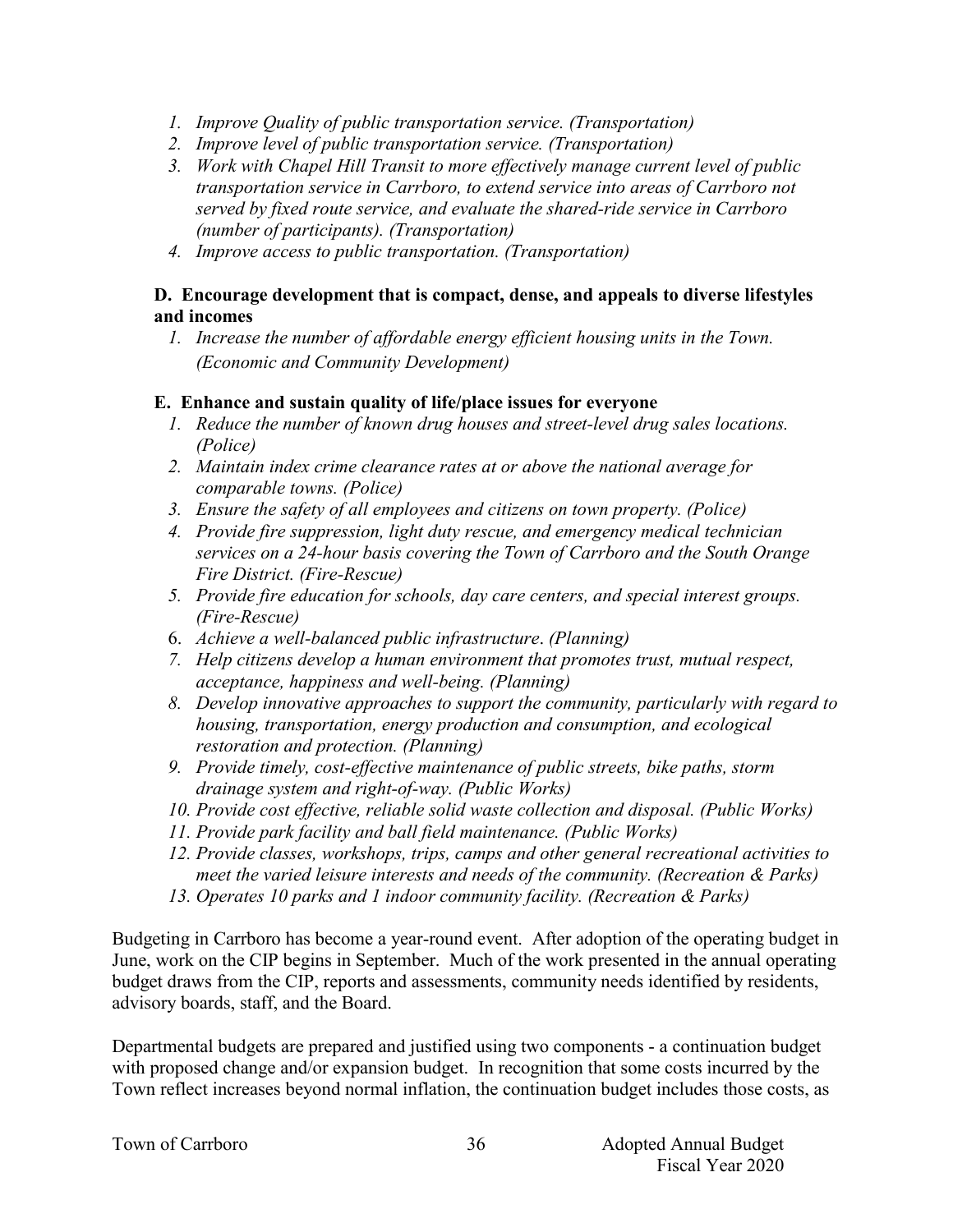- *1. Improve Quality of public transportation service. (Transportation)*
- *2. Improve level of public transportation service. (Transportation)*
- *3. Work with Chapel Hill Transit to more effectively manage current level of public transportation service in Carrboro, to extend service into areas of Carrboro not served by fixed route service, and evaluate the shared-ride service in Carrboro (number of participants). (Transportation)*
- *4. Improve access to public transportation. (Transportation)*

#### **D. Encourage development that is compact, dense, and appeals to diverse lifestyles and incomes**

*1. Increase the number of affordable energy efficient housing units in the Town. (Economic and Community Development)*

#### **E. Enhance and sustain quality of life/place issues for everyone**

- *1. Reduce the number of known drug houses and street-level drug sales locations. (Police)*
- *2. Maintain index crime clearance rates at or above the national average for comparable towns. (Police)*
- *3. Ensure the safety of all employees and citizens on town property. (Police)*
- *4. Provide fire suppression, light duty rescue, and emergency medical technician services on a 24-hour basis covering the Town of Carrboro and the South Orange Fire District. (Fire-Rescue)*
- *5. Provide fire education for schools, day care centers, and special interest groups. (Fire-Rescue)*
- 6. *Achieve a well-balanced public infrastructure*. *(Planning)*
- *7. Help citizens develop a human environment that promotes trust, mutual respect, acceptance, happiness and well-being. (Planning)*
- *8. Develop innovative approaches to support the community, particularly with regard to housing, transportation, energy production and consumption, and ecological restoration and protection. (Planning)*
- *9. Provide timely, cost-effective maintenance of public streets, bike paths, storm drainage system and right-of-way. (Public Works)*
- *10. Provide cost effective, reliable solid waste collection and disposal. (Public Works)*
- *11. Provide park facility and ball field maintenance. (Public Works)*
- *12. Provide classes, workshops, trips, camps and other general recreational activities to meet the varied leisure interests and needs of the community. (Recreation & Parks)*
- *13. Operates 10 parks and 1 indoor community facility. (Recreation & Parks)*

Budgeting in Carrboro has become a year-round event. After adoption of the operating budget in June, work on the CIP begins in September. Much of the work presented in the annual operating budget draws from the CIP, reports and assessments, community needs identified by residents, advisory boards, staff, and the Board.

Departmental budgets are prepared and justified using two components - a continuation budget with proposed change and/or expansion budget. In recognition that some costs incurred by the Town reflect increases beyond normal inflation, the continuation budget includes those costs, as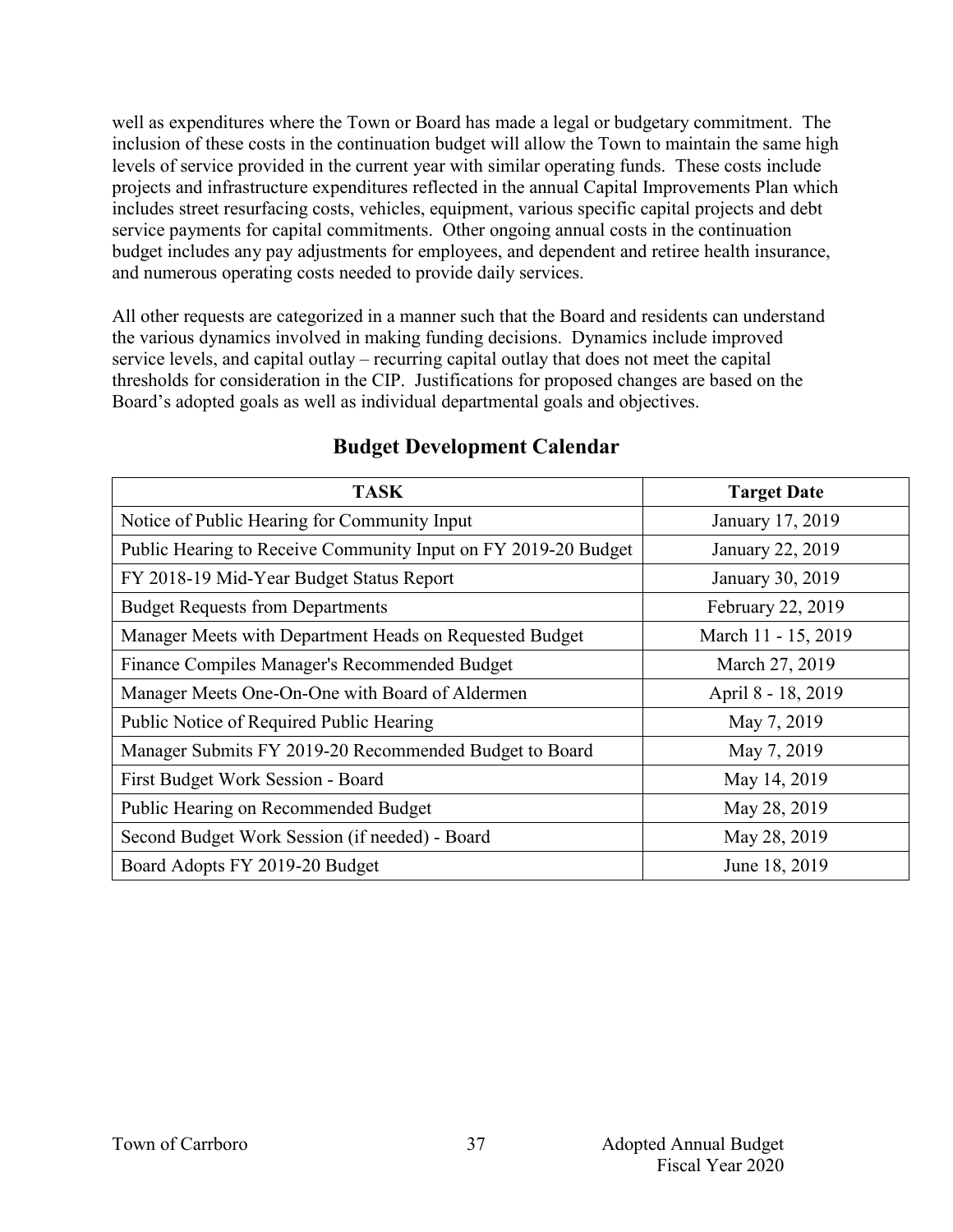well as expenditures where the Town or Board has made a legal or budgetary commitment. The inclusion of these costs in the continuation budget will allow the Town to maintain the same high levels of service provided in the current year with similar operating funds. These costs include projects and infrastructure expenditures reflected in the annual Capital Improvements Plan which includes street resurfacing costs, vehicles, equipment, various specific capital projects and debt service payments for capital commitments. Other ongoing annual costs in the continuation budget includes any pay adjustments for employees, and dependent and retiree health insurance, and numerous operating costs needed to provide daily services.

All other requests are categorized in a manner such that the Board and residents can understand the various dynamics involved in making funding decisions. Dynamics include improved service levels, and capital outlay – recurring capital outlay that does not meet the capital thresholds for consideration in the CIP. Justifications for proposed changes are based on the Board's adopted goals as well as individual departmental goals and objectives.

| <b>TASK</b>                                                    | <b>Target Date</b>  |
|----------------------------------------------------------------|---------------------|
| Notice of Public Hearing for Community Input                   | January 17, 2019    |
| Public Hearing to Receive Community Input on FY 2019-20 Budget | January 22, 2019    |
| FY 2018-19 Mid-Year Budget Status Report                       | January 30, 2019    |
| <b>Budget Requests from Departments</b>                        | February 22, 2019   |
| Manager Meets with Department Heads on Requested Budget        | March 11 - 15, 2019 |
| Finance Compiles Manager's Recommended Budget                  | March 27, 2019      |
| Manager Meets One-On-One with Board of Aldermen                | April 8 - 18, 2019  |
| Public Notice of Required Public Hearing                       | May 7, 2019         |
| Manager Submits FY 2019-20 Recommended Budget to Board         | May 7, 2019         |
| First Budget Work Session - Board                              | May 14, 2019        |
| Public Hearing on Recommended Budget                           | May 28, 2019        |
| Second Budget Work Session (if needed) - Board                 | May 28, 2019        |
| Board Adopts FY 2019-20 Budget                                 | June 18, 2019       |

## **Budget Development Calendar**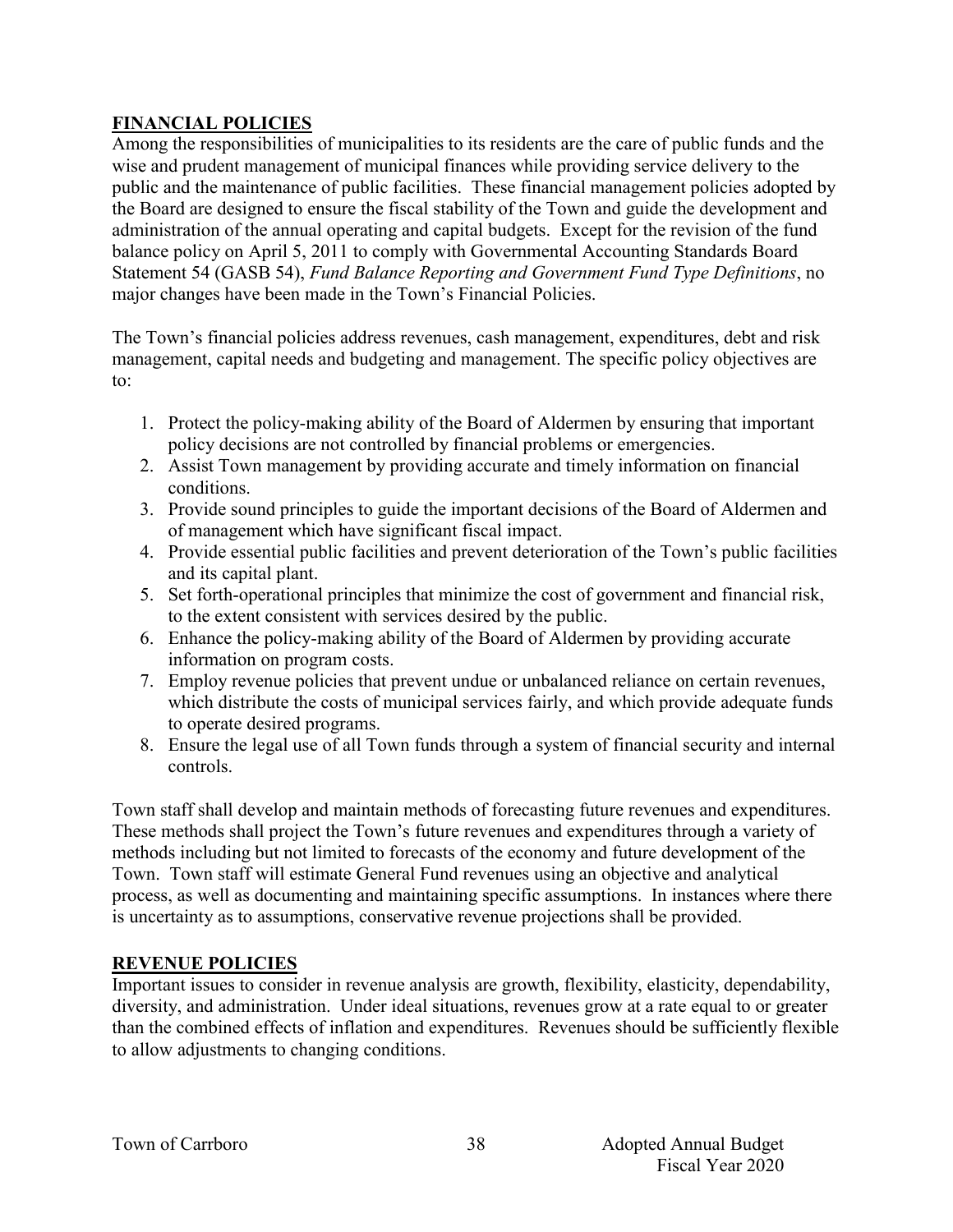#### **FINANCIAL POLICIES**

Among the responsibilities of municipalities to its residents are the care of public funds and the wise and prudent management of municipal finances while providing service delivery to the public and the maintenance of public facilities. These financial management policies adopted by the Board are designed to ensure the fiscal stability of the Town and guide the development and administration of the annual operating and capital budgets. Except for the revision of the fund balance policy on April 5, 2011 to comply with Governmental Accounting Standards Board Statement 54 (GASB 54), *Fund Balance Reporting and Government Fund Type Definitions*, no major changes have been made in the Town's Financial Policies.

The Town's financial policies address revenues, cash management, expenditures, debt and risk management, capital needs and budgeting and management. The specific policy objectives are to:

- 1. Protect the policy-making ability of the Board of Aldermen by ensuring that important policy decisions are not controlled by financial problems or emergencies.
- 2. Assist Town management by providing accurate and timely information on financial conditions.
- 3. Provide sound principles to guide the important decisions of the Board of Aldermen and of management which have significant fiscal impact.
- 4. Provide essential public facilities and prevent deterioration of the Town's public facilities and its capital plant.
- 5. Set forth-operational principles that minimize the cost of government and financial risk, to the extent consistent with services desired by the public.
- 6. Enhance the policy-making ability of the Board of Aldermen by providing accurate information on program costs.
- 7. Employ revenue policies that prevent undue or unbalanced reliance on certain revenues, which distribute the costs of municipal services fairly, and which provide adequate funds to operate desired programs.
- 8. Ensure the legal use of all Town funds through a system of financial security and internal controls.

Town staff shall develop and maintain methods of forecasting future revenues and expenditures. These methods shall project the Town's future revenues and expenditures through a variety of methods including but not limited to forecasts of the economy and future development of the Town. Town staff will estimate General Fund revenues using an objective and analytical process, as well as documenting and maintaining specific assumptions. In instances where there is uncertainty as to assumptions, conservative revenue projections shall be provided.

## **REVENUE POLICIES**

Important issues to consider in revenue analysis are growth, flexibility, elasticity, dependability, diversity, and administration. Under ideal situations, revenues grow at a rate equal to or greater than the combined effects of inflation and expenditures. Revenues should be sufficiently flexible to allow adjustments to changing conditions.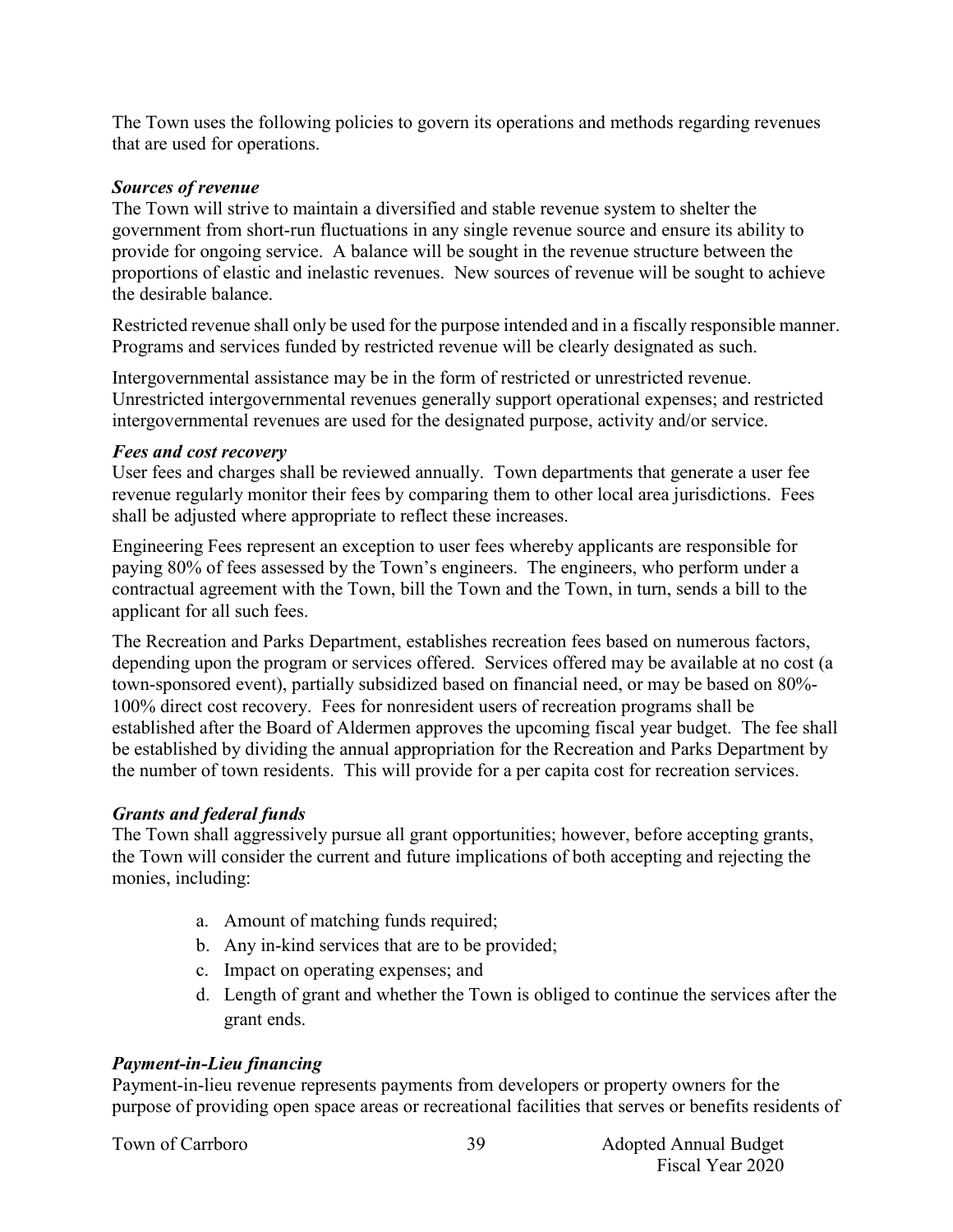The Town uses the following policies to govern its operations and methods regarding revenues that are used for operations.

#### *Sources of revenue*

The Town will strive to maintain a diversified and stable revenue system to shelter the government from short-run fluctuations in any single revenue source and ensure its ability to provide for ongoing service. A balance will be sought in the revenue structure between the proportions of elastic and inelastic revenues. New sources of revenue will be sought to achieve the desirable balance.

Restricted revenue shall only be used for the purpose intended and in a fiscally responsible manner. Programs and services funded by restricted revenue will be clearly designated as such.

Intergovernmental assistance may be in the form of restricted or unrestricted revenue. Unrestricted intergovernmental revenues generally support operational expenses; and restricted intergovernmental revenues are used for the designated purpose, activity and/or service.

#### *Fees and cost recovery*

User fees and charges shall be reviewed annually. Town departments that generate a user fee revenue regularly monitor their fees by comparing them to other local area jurisdictions. Fees shall be adjusted where appropriate to reflect these increases.

Engineering Fees represent an exception to user fees whereby applicants are responsible for paying 80% of fees assessed by the Town's engineers. The engineers, who perform under a contractual agreement with the Town, bill the Town and the Town, in turn, sends a bill to the applicant for all such fees.

The Recreation and Parks Department, establishes recreation fees based on numerous factors, depending upon the program or services offered. Services offered may be available at no cost (a town-sponsored event), partially subsidized based on financial need, or may be based on 80%- 100% direct cost recovery. Fees for nonresident users of recreation programs shall be established after the Board of Aldermen approves the upcoming fiscal year budget. The fee shall be established by dividing the annual appropriation for the Recreation and Parks Department by the number of town residents. This will provide for a per capita cost for recreation services.

#### *Grants and federal funds*

The Town shall aggressively pursue all grant opportunities; however, before accepting grants, the Town will consider the current and future implications of both accepting and rejecting the monies, including:

- a. Amount of matching funds required;
- b. Any in-kind services that are to be provided;
- c. Impact on operating expenses; and
- d. Length of grant and whether the Town is obliged to continue the services after the grant ends.

#### *Payment-in-Lieu financing*

Payment-in-lieu revenue represents payments from developers or property owners for the purpose of providing open space areas or recreational facilities that serves or benefits residents of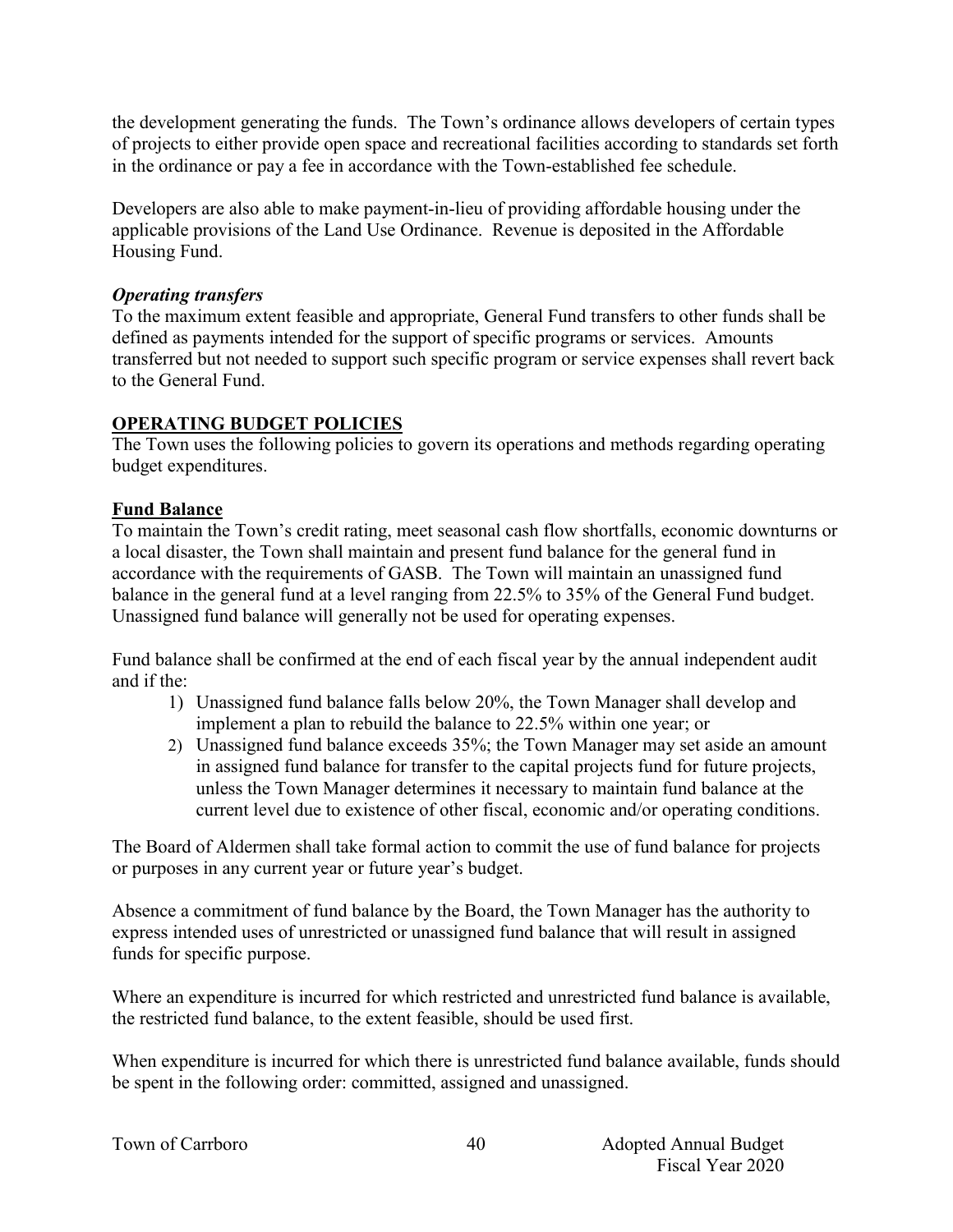the development generating the funds. The Town's ordinance allows developers of certain types of projects to either provide open space and recreational facilities according to standards set forth in the ordinance or pay a fee in accordance with the Town-established fee schedule.

Developers are also able to make payment-in-lieu of providing affordable housing under the applicable provisions of the Land Use Ordinance. Revenue is deposited in the Affordable Housing Fund.

#### *Operating transfers*

To the maximum extent feasible and appropriate, General Fund transfers to other funds shall be defined as payments intended for the support of specific programs or services. Amounts transferred but not needed to support such specific program or service expenses shall revert back to the General Fund.

#### **OPERATING BUDGET POLICIES**

The Town uses the following policies to govern its operations and methods regarding operating budget expenditures.

#### **Fund Balance**

To maintain the Town's credit rating, meet seasonal cash flow shortfalls, economic downturns or a local disaster, the Town shall maintain and present fund balance for the general fund in accordance with the requirements of GASB. The Town will maintain an unassigned fund balance in the general fund at a level ranging from 22.5% to 35% of the General Fund budget. Unassigned fund balance will generally not be used for operating expenses.

Fund balance shall be confirmed at the end of each fiscal year by the annual independent audit and if the:

- 1) Unassigned fund balance falls below 20%, the Town Manager shall develop and implement a plan to rebuild the balance to 22.5% within one year; or
- 2) Unassigned fund balance exceeds 35%; the Town Manager may set aside an amount in assigned fund balance for transfer to the capital projects fund for future projects, unless the Town Manager determines it necessary to maintain fund balance at the current level due to existence of other fiscal, economic and/or operating conditions.

The Board of Aldermen shall take formal action to commit the use of fund balance for projects or purposes in any current year or future year's budget.

Absence a commitment of fund balance by the Board, the Town Manager has the authority to express intended uses of unrestricted or unassigned fund balance that will result in assigned funds for specific purpose.

Where an expenditure is incurred for which restricted and unrestricted fund balance is available, the restricted fund balance, to the extent feasible, should be used first.

When expenditure is incurred for which there is unrestricted fund balance available, funds should be spent in the following order: committed, assigned and unassigned.

|  |  | Town of Carrboro |
|--|--|------------------|
|--|--|------------------|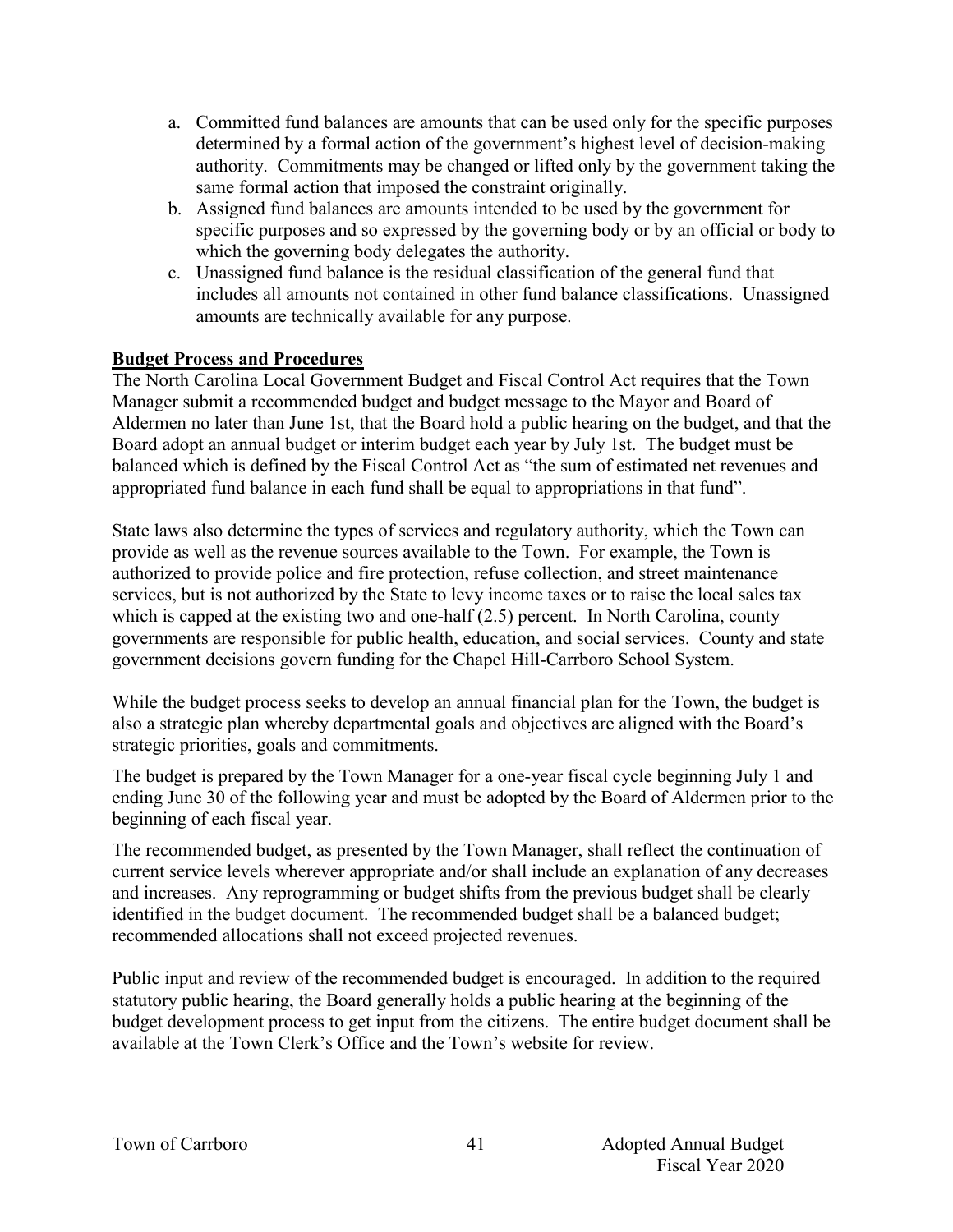- a. Committed fund balances are amounts that can be used only for the specific purposes determined by a formal action of the government's highest level of decision-making authority. Commitments may be changed or lifted only by the government taking the same formal action that imposed the constraint originally.
- b. Assigned fund balances are amounts intended to be used by the government for specific purposes and so expressed by the governing body or by an official or body to which the governing body delegates the authority.
- c. Unassigned fund balance is the residual classification of the general fund that includes all amounts not contained in other fund balance classifications. Unassigned amounts are technically available for any purpose.

#### **Budget Process and Procedures**

The North Carolina Local Government Budget and Fiscal Control Act requires that the Town Manager submit a recommended budget and budget message to the Mayor and Board of Aldermen no later than June 1st, that the Board hold a public hearing on the budget, and that the Board adopt an annual budget or interim budget each year by July 1st. The budget must be balanced which is defined by the Fiscal Control Act as "the sum of estimated net revenues and appropriated fund balance in each fund shall be equal to appropriations in that fund".

State laws also determine the types of services and regulatory authority, which the Town can provide as well as the revenue sources available to the Town. For example, the Town is authorized to provide police and fire protection, refuse collection, and street maintenance services, but is not authorized by the State to levy income taxes or to raise the local sales tax which is capped at the existing two and one-half (2.5) percent. In North Carolina, county governments are responsible for public health, education, and social services. County and state government decisions govern funding for the Chapel Hill-Carrboro School System.

While the budget process seeks to develop an annual financial plan for the Town, the budget is also a strategic plan whereby departmental goals and objectives are aligned with the Board's strategic priorities, goals and commitments.

The budget is prepared by the Town Manager for a one-year fiscal cycle beginning July 1 and ending June 30 of the following year and must be adopted by the Board of Aldermen prior to the beginning of each fiscal year.

The recommended budget, as presented by the Town Manager, shall reflect the continuation of current service levels wherever appropriate and/or shall include an explanation of any decreases and increases. Any reprogramming or budget shifts from the previous budget shall be clearly identified in the budget document. The recommended budget shall be a balanced budget; recommended allocations shall not exceed projected revenues.

Public input and review of the recommended budget is encouraged. In addition to the required statutory public hearing, the Board generally holds a public hearing at the beginning of the budget development process to get input from the citizens. The entire budget document shall be available at the Town Clerk's Office and the Town's website for review.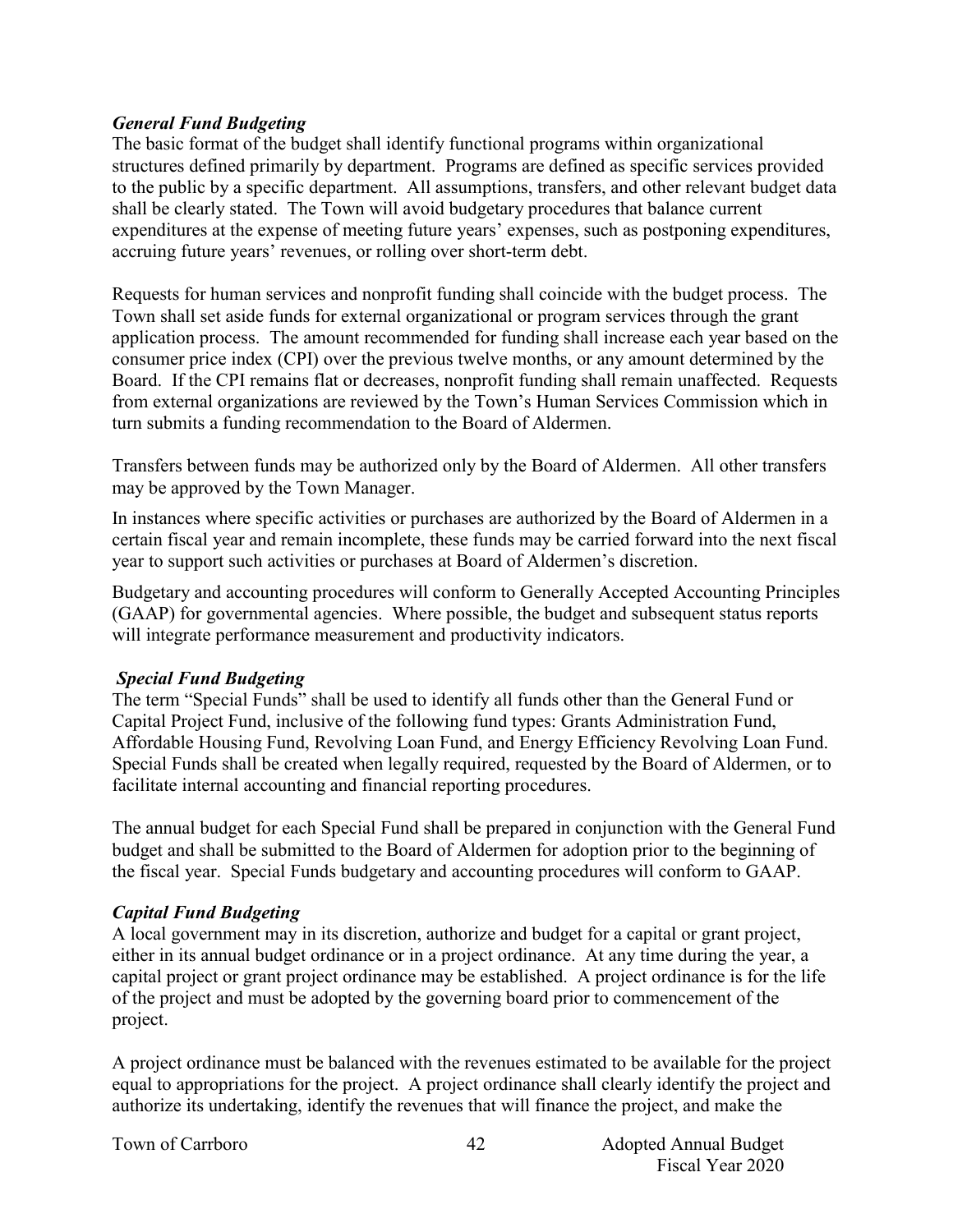#### *General Fund Budgeting*

The basic format of the budget shall identify functional programs within organizational structures defined primarily by department. Programs are defined as specific services provided to the public by a specific department. All assumptions, transfers, and other relevant budget data shall be clearly stated. The Town will avoid budgetary procedures that balance current expenditures at the expense of meeting future years' expenses, such as postponing expenditures, accruing future years' revenues, or rolling over short-term debt.

Requests for human services and nonprofit funding shall coincide with the budget process. The Town shall set aside funds for external organizational or program services through the grant application process. The amount recommended for funding shall increase each year based on the consumer price index (CPI) over the previous twelve months, or any amount determined by the Board. If the CPI remains flat or decreases, nonprofit funding shall remain unaffected. Requests from external organizations are reviewed by the Town's Human Services Commission which in turn submits a funding recommendation to the Board of Aldermen.

Transfers between funds may be authorized only by the Board of Aldermen. All other transfers may be approved by the Town Manager.

In instances where specific activities or purchases are authorized by the Board of Aldermen in a certain fiscal year and remain incomplete, these funds may be carried forward into the next fiscal year to support such activities or purchases at Board of Aldermen's discretion.

Budgetary and accounting procedures will conform to Generally Accepted Accounting Principles (GAAP) for governmental agencies. Where possible, the budget and subsequent status reports will integrate performance measurement and productivity indicators.

#### *Special Fund Budgeting*

The term "Special Funds" shall be used to identify all funds other than the General Fund or Capital Project Fund, inclusive of the following fund types: Grants Administration Fund, Affordable Housing Fund, Revolving Loan Fund, and Energy Efficiency Revolving Loan Fund. Special Funds shall be created when legally required, requested by the Board of Aldermen, or to facilitate internal accounting and financial reporting procedures.

The annual budget for each Special Fund shall be prepared in conjunction with the General Fund budget and shall be submitted to the Board of Aldermen for adoption prior to the beginning of the fiscal year. Special Funds budgetary and accounting procedures will conform to GAAP.

#### *Capital Fund Budgeting*

A local government may in its discretion, authorize and budget for a capital or grant project, either in its annual budget ordinance or in a project ordinance. At any time during the year, a capital project or grant project ordinance may be established. A project ordinance is for the life of the project and must be adopted by the governing board prior to commencement of the project.

A project ordinance must be balanced with the revenues estimated to be available for the project equal to appropriations for the project. A project ordinance shall clearly identify the project and authorize its undertaking, identify the revenues that will finance the project, and make the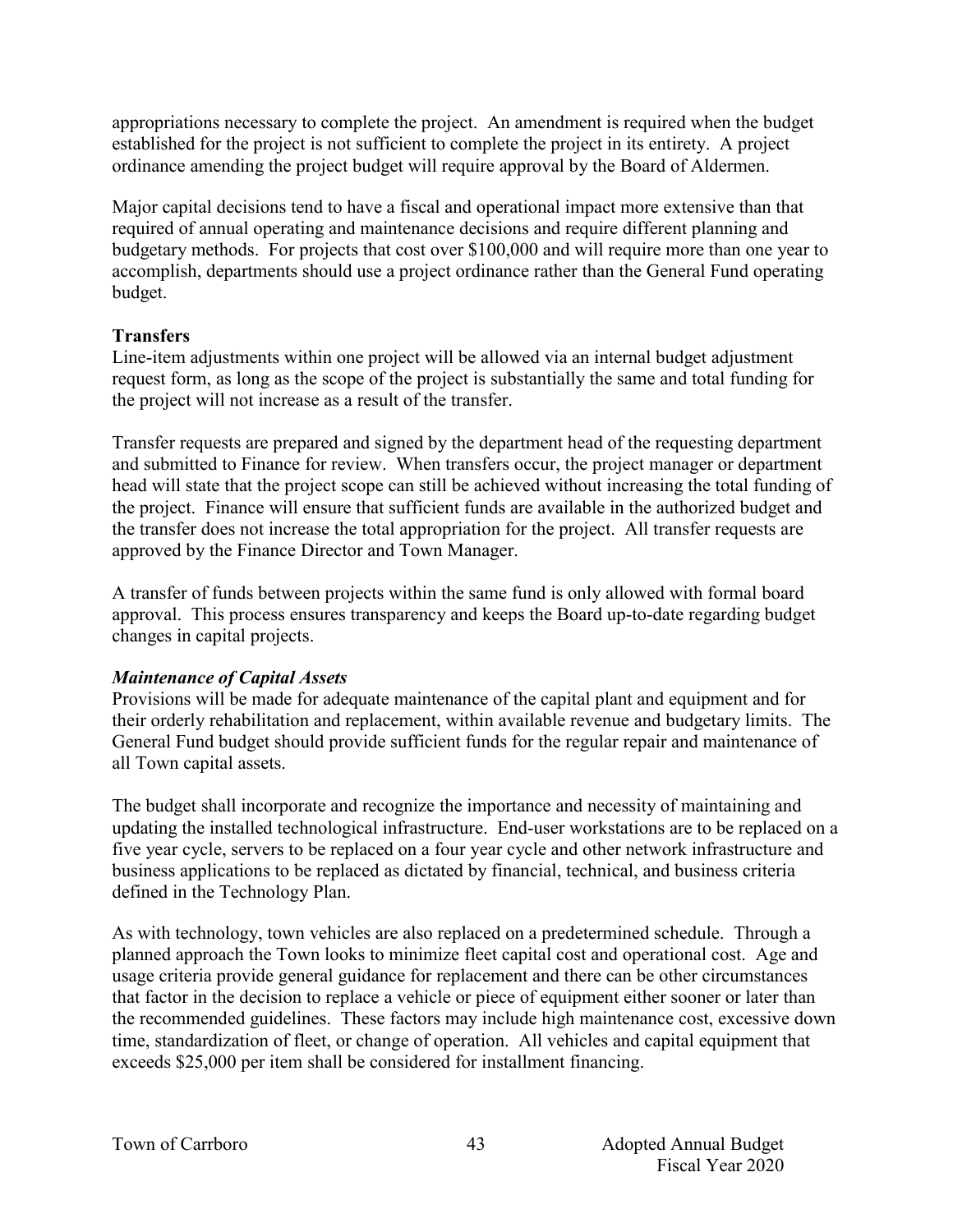appropriations necessary to complete the project. An amendment is required when the budget established for the project is not sufficient to complete the project in its entirety. A project ordinance amending the project budget will require approval by the Board of Aldermen.

Major capital decisions tend to have a fiscal and operational impact more extensive than that required of annual operating and maintenance decisions and require different planning and budgetary methods. For projects that cost over \$100,000 and will require more than one year to accomplish, departments should use a project ordinance rather than the General Fund operating budget.

#### **Transfers**

Line-item adjustments within one project will be allowed via an internal budget adjustment request form, as long as the scope of the project is substantially the same and total funding for the project will not increase as a result of the transfer.

Transfer requests are prepared and signed by the department head of the requesting department and submitted to Finance for review. When transfers occur, the project manager or department head will state that the project scope can still be achieved without increasing the total funding of the project. Finance will ensure that sufficient funds are available in the authorized budget and the transfer does not increase the total appropriation for the project. All transfer requests are approved by the Finance Director and Town Manager.

A transfer of funds between projects within the same fund is only allowed with formal board approval. This process ensures transparency and keeps the Board up-to-date regarding budget changes in capital projects.

#### *Maintenance of Capital Assets*

Provisions will be made for adequate maintenance of the capital plant and equipment and for their orderly rehabilitation and replacement, within available revenue and budgetary limits. The General Fund budget should provide sufficient funds for the regular repair and maintenance of all Town capital assets.

The budget shall incorporate and recognize the importance and necessity of maintaining and updating the installed technological infrastructure. End-user workstations are to be replaced on a five year cycle, servers to be replaced on a four year cycle and other network infrastructure and business applications to be replaced as dictated by financial, technical, and business criteria defined in the Technology Plan.

As with technology, town vehicles are also replaced on a predetermined schedule. Through a planned approach the Town looks to minimize fleet capital cost and operational cost. Age and usage criteria provide general guidance for replacement and there can be other circumstances that factor in the decision to replace a vehicle or piece of equipment either sooner or later than the recommended guidelines. These factors may include high maintenance cost, excessive down time, standardization of fleet, or change of operation. All vehicles and capital equipment that exceeds \$25,000 per item shall be considered for installment financing.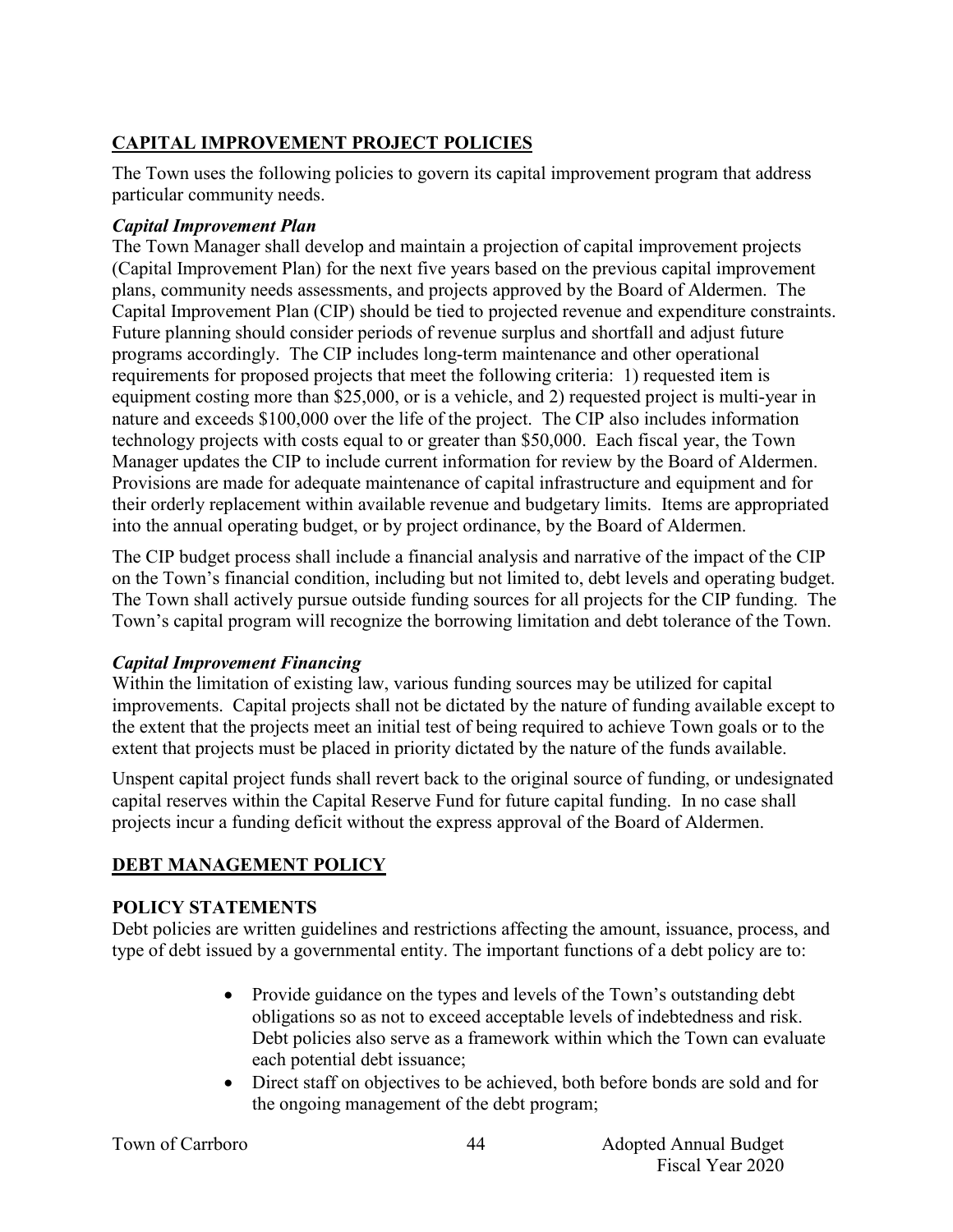## **CAPITAL IMPROVEMENT PROJECT POLICIES**

The Town uses the following policies to govern its capital improvement program that address particular community needs.

#### *Capital Improvement Plan*

The Town Manager shall develop and maintain a projection of capital improvement projects (Capital Improvement Plan) for the next five years based on the previous capital improvement plans, community needs assessments, and projects approved by the Board of Aldermen. The Capital Improvement Plan (CIP) should be tied to projected revenue and expenditure constraints. Future planning should consider periods of revenue surplus and shortfall and adjust future programs accordingly. The CIP includes long-term maintenance and other operational requirements for proposed projects that meet the following criteria: 1) requested item is equipment costing more than \$25,000, or is a vehicle, and 2) requested project is multi-year in nature and exceeds \$100,000 over the life of the project. The CIP also includes information technology projects with costs equal to or greater than \$50,000. Each fiscal year, the Town Manager updates the CIP to include current information for review by the Board of Aldermen. Provisions are made for adequate maintenance of capital infrastructure and equipment and for their orderly replacement within available revenue and budgetary limits. Items are appropriated into the annual operating budget, or by project ordinance, by the Board of Aldermen.

The CIP budget process shall include a financial analysis and narrative of the impact of the CIP on the Town's financial condition, including but not limited to, debt levels and operating budget. The Town shall actively pursue outside funding sources for all projects for the CIP funding. The Town's capital program will recognize the borrowing limitation and debt tolerance of the Town.

## *Capital Improvement Financing*

Within the limitation of existing law, various funding sources may be utilized for capital improvements. Capital projects shall not be dictated by the nature of funding available except to the extent that the projects meet an initial test of being required to achieve Town goals or to the extent that projects must be placed in priority dictated by the nature of the funds available.

Unspent capital project funds shall revert back to the original source of funding, or undesignated capital reserves within the Capital Reserve Fund for future capital funding. In no case shall projects incur a funding deficit without the express approval of the Board of Aldermen.

## **DEBT MANAGEMENT POLICY**

#### **POLICY STATEMENTS**

Debt policies are written guidelines and restrictions affecting the amount, issuance, process, and type of debt issued by a governmental entity. The important functions of a debt policy are to:

- Provide guidance on the types and levels of the Town's outstanding debt obligations so as not to exceed acceptable levels of indebtedness and risk. Debt policies also serve as a framework within which the Town can evaluate each potential debt issuance;
- Direct staff on objectives to be achieved, both before bonds are sold and for the ongoing management of the debt program;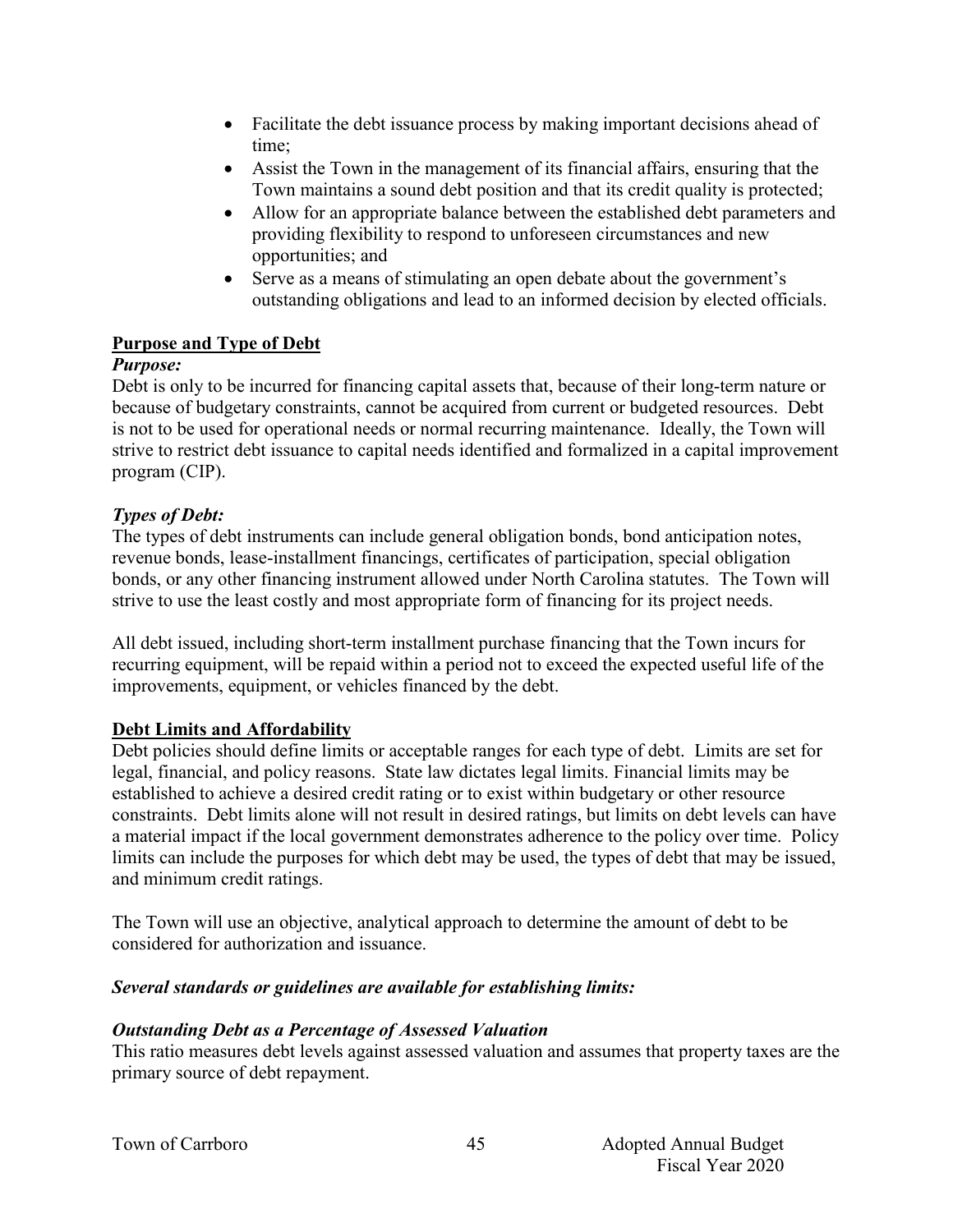- Facilitate the debt issuance process by making important decisions ahead of time;
- Assist the Town in the management of its financial affairs, ensuring that the Town maintains a sound debt position and that its credit quality is protected;
- Allow for an appropriate balance between the established debt parameters and providing flexibility to respond to unforeseen circumstances and new opportunities; and
- Serve as a means of stimulating an open debate about the government's outstanding obligations and lead to an informed decision by elected officials.

#### **Purpose and Type of Debt**

#### *Purpose:*

Debt is only to be incurred for financing capital assets that, because of their long-term nature or because of budgetary constraints, cannot be acquired from current or budgeted resources. Debt is not to be used for operational needs or normal recurring maintenance. Ideally, the Town will strive to restrict debt issuance to capital needs identified and formalized in a capital improvement program (CIP).

#### *Types of Debt:*

The types of debt instruments can include general obligation bonds, bond anticipation notes, revenue bonds, lease-installment financings, certificates of participation, special obligation bonds, or any other financing instrument allowed under North Carolina statutes. The Town will strive to use the least costly and most appropriate form of financing for its project needs.

All debt issued, including short-term installment purchase financing that the Town incurs for recurring equipment, will be repaid within a period not to exceed the expected useful life of the improvements, equipment, or vehicles financed by the debt.

#### **Debt Limits and Affordability**

Debt policies should define limits or acceptable ranges for each type of debt. Limits are set for legal, financial, and policy reasons. State law dictates legal limits. Financial limits may be established to achieve a desired credit rating or to exist within budgetary or other resource constraints. Debt limits alone will not result in desired ratings, but limits on debt levels can have a material impact if the local government demonstrates adherence to the policy over time. Policy limits can include the purposes for which debt may be used, the types of debt that may be issued, and minimum credit ratings.

The Town will use an objective, analytical approach to determine the amount of debt to be considered for authorization and issuance.

#### *Several standards or guidelines are available for establishing limits:*

#### *Outstanding Debt as a Percentage of Assessed Valuation*

This ratio measures debt levels against assessed valuation and assumes that property taxes are the primary source of debt repayment.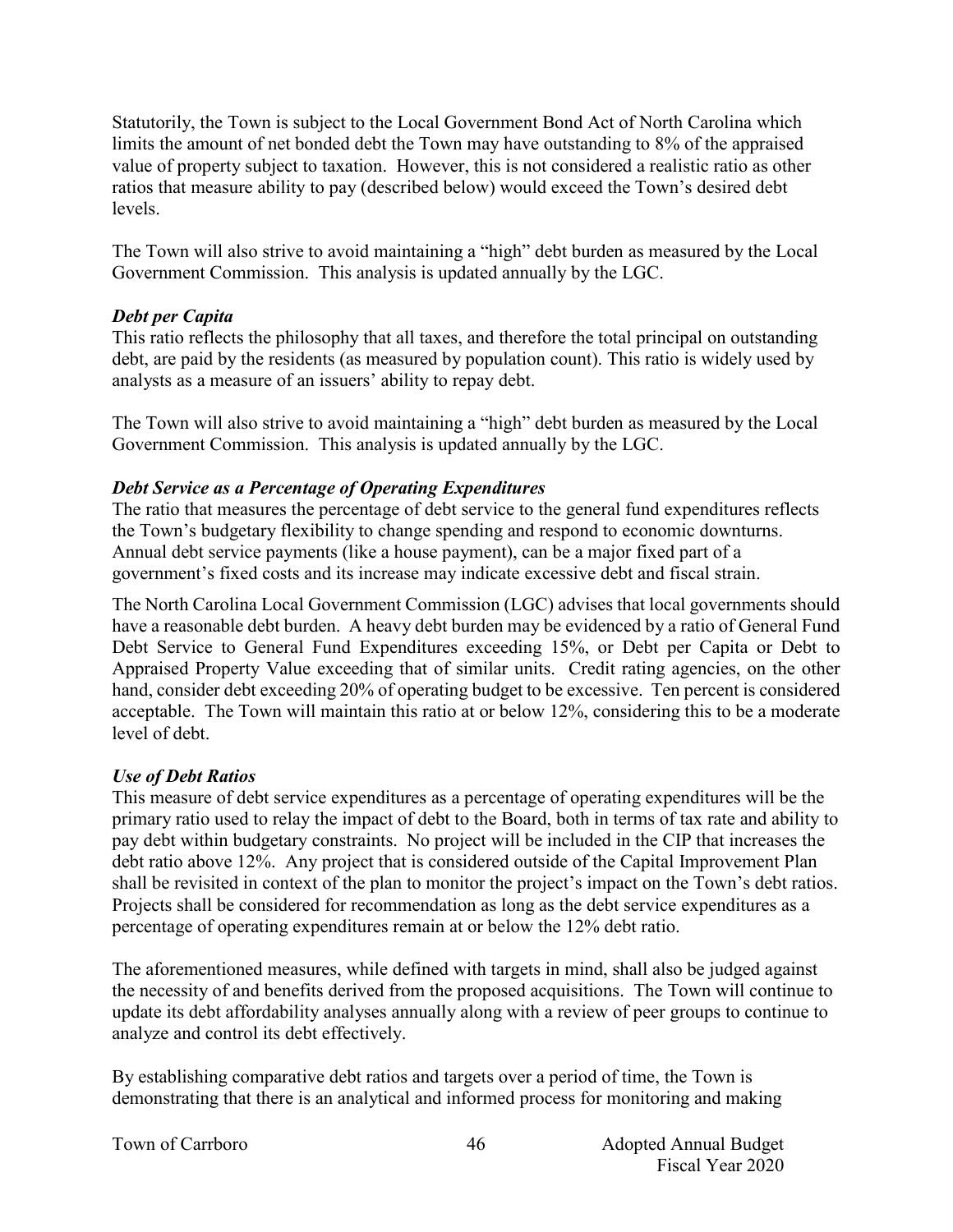Statutorily, the Town is subject to the Local Government Bond Act of North Carolina which limits the amount of net bonded debt the Town may have outstanding to 8% of the appraised value of property subject to taxation. However, this is not considered a realistic ratio as other ratios that measure ability to pay (described below) would exceed the Town's desired debt levels.

The Town will also strive to avoid maintaining a "high" debt burden as measured by the Local Government Commission. This analysis is updated annually by the LGC.

#### *Debt per Capita*

This ratio reflects the philosophy that all taxes, and therefore the total principal on outstanding debt, are paid by the residents (as measured by population count). This ratio is widely used by analysts as a measure of an issuers' ability to repay debt.

The Town will also strive to avoid maintaining a "high" debt burden as measured by the Local Government Commission. This analysis is updated annually by the LGC.

#### *Debt Service as a Percentage of Operating Expenditures*

The ratio that measures the percentage of debt service to the general fund expenditures reflects the Town's budgetary flexibility to change spending and respond to economic downturns. Annual debt service payments (like a house payment), can be a major fixed part of a government's fixed costs and its increase may indicate excessive debt and fiscal strain.

The North Carolina Local Government Commission (LGC) advises that local governments should have a reasonable debt burden. A heavy debt burden may be evidenced by a ratio of General Fund Debt Service to General Fund Expenditures exceeding 15%, or Debt per Capita or Debt to Appraised Property Value exceeding that of similar units. Credit rating agencies, on the other hand, consider debt exceeding 20% of operating budget to be excessive. Ten percent is considered acceptable. The Town will maintain this ratio at or below 12%, considering this to be a moderate level of debt.

#### *Use of Debt Ratios*

This measure of debt service expenditures as a percentage of operating expenditures will be the primary ratio used to relay the impact of debt to the Board, both in terms of tax rate and ability to pay debt within budgetary constraints. No project will be included in the CIP that increases the debt ratio above 12%. Any project that is considered outside of the Capital Improvement Plan shall be revisited in context of the plan to monitor the project's impact on the Town's debt ratios. Projects shall be considered for recommendation as long as the debt service expenditures as a percentage of operating expenditures remain at or below the 12% debt ratio.

The aforementioned measures, while defined with targets in mind, shall also be judged against the necessity of and benefits derived from the proposed acquisitions. The Town will continue to update its debt affordability analyses annually along with a review of peer groups to continue to analyze and control its debt effectively.

By establishing comparative debt ratios and targets over a period of time, the Town is demonstrating that there is an analytical and informed process for monitoring and making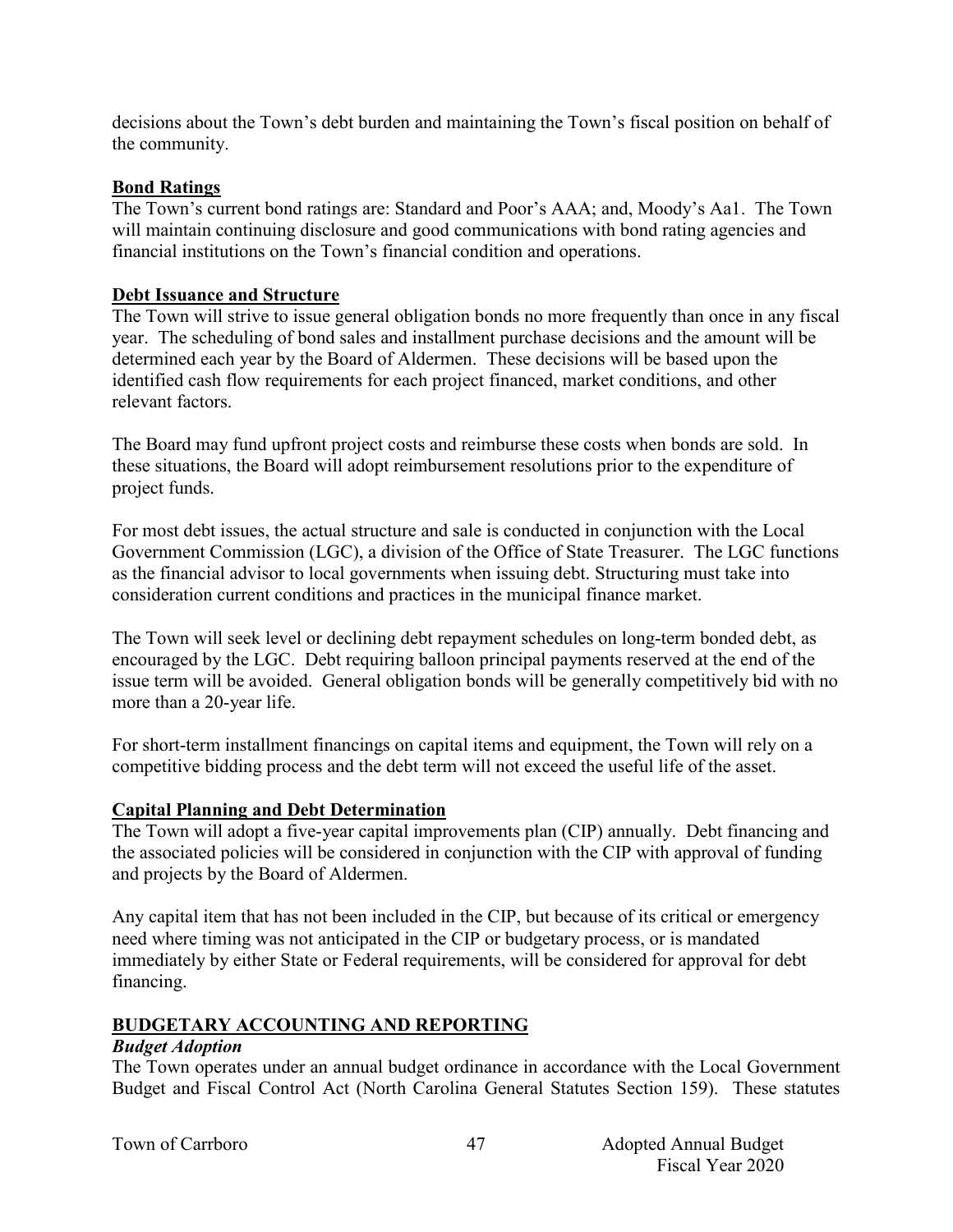decisions about the Town's debt burden and maintaining the Town's fiscal position on behalf of the community.

#### **Bond Ratings**

The Town's current bond ratings are: Standard and Poor's AAA; and, Moody's Aa1. The Town will maintain continuing disclosure and good communications with bond rating agencies and financial institutions on the Town's financial condition and operations.

#### **Debt Issuance and Structure**

The Town will strive to issue general obligation bonds no more frequently than once in any fiscal year. The scheduling of bond sales and installment purchase decisions and the amount will be determined each year by the Board of Aldermen. These decisions will be based upon the identified cash flow requirements for each project financed, market conditions, and other relevant factors.

The Board may fund upfront project costs and reimburse these costs when bonds are sold. In these situations, the Board will adopt reimbursement resolutions prior to the expenditure of project funds.

For most debt issues, the actual structure and sale is conducted in conjunction with the Local Government Commission (LGC), a division of the Office of State Treasurer. The LGC functions as the financial advisor to local governments when issuing debt. Structuring must take into consideration current conditions and practices in the municipal finance market.

The Town will seek level or declining debt repayment schedules on long-term bonded debt, as encouraged by the LGC. Debt requiring balloon principal payments reserved at the end of the issue term will be avoided. General obligation bonds will be generally competitively bid with no more than a 20-year life.

For short-term installment financings on capital items and equipment, the Town will rely on a competitive bidding process and the debt term will not exceed the useful life of the asset.

#### **Capital Planning and Debt Determination**

The Town will adopt a five-year capital improvements plan (CIP) annually. Debt financing and the associated policies will be considered in conjunction with the CIP with approval of funding and projects by the Board of Aldermen.

Any capital item that has not been included in the CIP, but because of its critical or emergency need where timing was not anticipated in the CIP or budgetary process, or is mandated immediately by either State or Federal requirements, will be considered for approval for debt financing.

#### **BUDGETARY ACCOUNTING AND REPORTING**

#### *Budget Adoption*

The Town operates under an annual budget ordinance in accordance with the Local Government Budget and Fiscal Control Act (North Carolina General Statutes Section 159). These statutes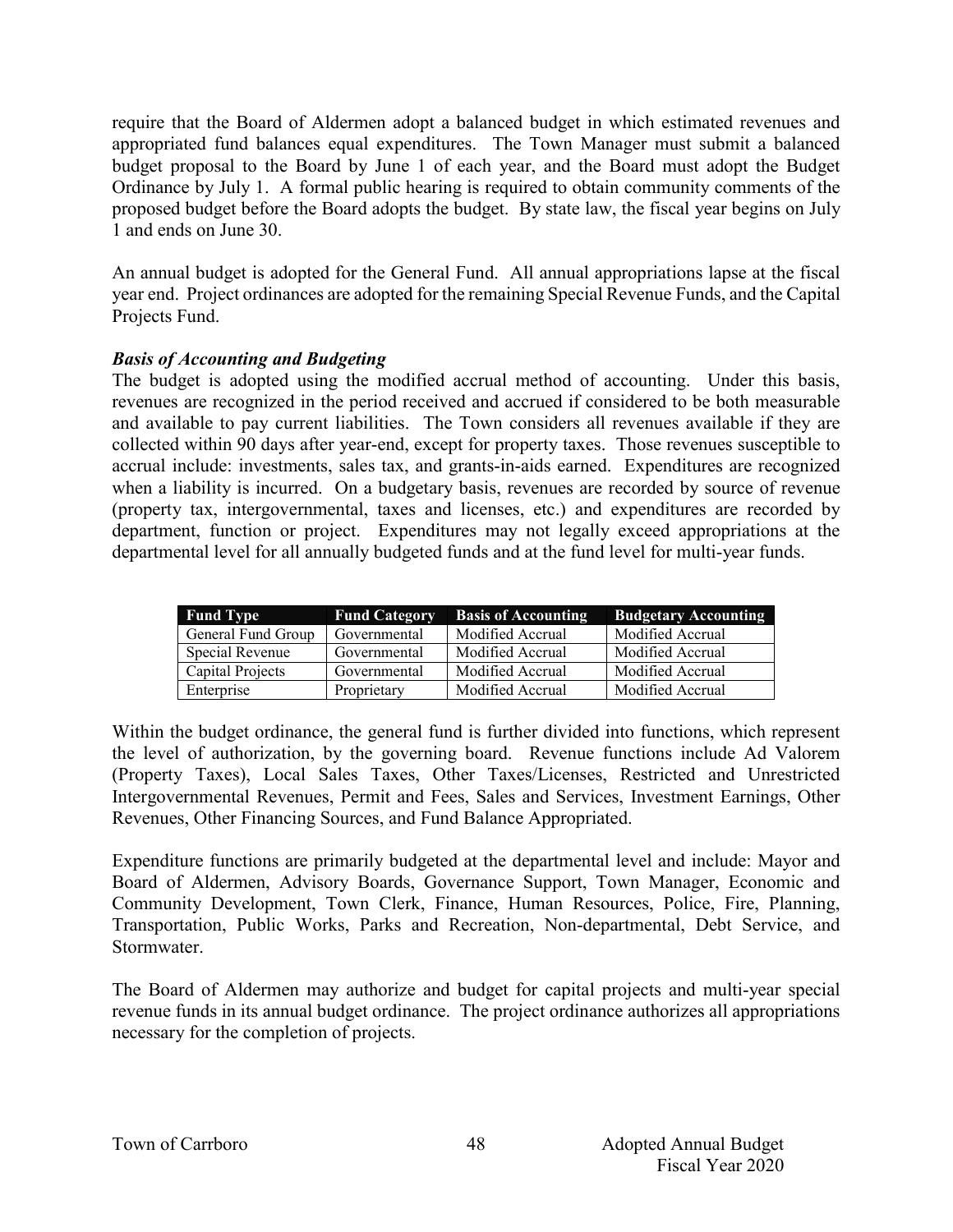require that the Board of Aldermen adopt a balanced budget in which estimated revenues and appropriated fund balances equal expenditures. The Town Manager must submit a balanced budget proposal to the Board by June 1 of each year, and the Board must adopt the Budget Ordinance by July 1. A formal public hearing is required to obtain community comments of the proposed budget before the Board adopts the budget. By state law, the fiscal year begins on July 1 and ends on June 30.

An annual budget is adopted for the General Fund. All annual appropriations lapse at the fiscal year end. Project ordinances are adopted for the remaining Special Revenue Funds, and the Capital Projects Fund.

#### *Basis of Accounting and Budgeting*

The budget is adopted using the modified accrual method of accounting. Under this basis, revenues are recognized in the period received and accrued if considered to be both measurable and available to pay current liabilities. The Town considers all revenues available if they are collected within 90 days after year-end, except for property taxes. Those revenues susceptible to accrual include: investments, sales tax, and grants-in-aids earned. Expenditures are recognized when a liability is incurred. On a budgetary basis, revenues are recorded by source of revenue (property tax, intergovernmental, taxes and licenses, etc.) and expenditures are recorded by department, function or project. Expenditures may not legally exceed appropriations at the departmental level for all annually budgeted funds and at the fund level for multi-year funds.

| <b>Fund Type</b>   | <b>Fund Category</b> | <b>Basis of Accounting</b> | <b>Budgetary Accounting</b> |
|--------------------|----------------------|----------------------------|-----------------------------|
| General Fund Group | Governmental         | Modified Accrual           | Modified Accrual            |
| Special Revenue    | Governmental         | Modified Accrual           | Modified Accrual            |
| Capital Projects   | Governmental         | Modified Accrual           | Modified Accrual            |
| Enterprise         | Proprietary          | Modified Accrual           | Modified Accrual            |

Within the budget ordinance, the general fund is further divided into functions, which represent the level of authorization, by the governing board. Revenue functions include Ad Valorem (Property Taxes), Local Sales Taxes, Other Taxes/Licenses, Restricted and Unrestricted Intergovernmental Revenues, Permit and Fees, Sales and Services, Investment Earnings, Other Revenues, Other Financing Sources, and Fund Balance Appropriated.

Expenditure functions are primarily budgeted at the departmental level and include: Mayor and Board of Aldermen, Advisory Boards, Governance Support, Town Manager, Economic and Community Development, Town Clerk, Finance, Human Resources, Police, Fire, Planning, Transportation, Public Works, Parks and Recreation, Non-departmental, Debt Service, and Stormwater.

The Board of Aldermen may authorize and budget for capital projects and multi-year special revenue funds in its annual budget ordinance. The project ordinance authorizes all appropriations necessary for the completion of projects.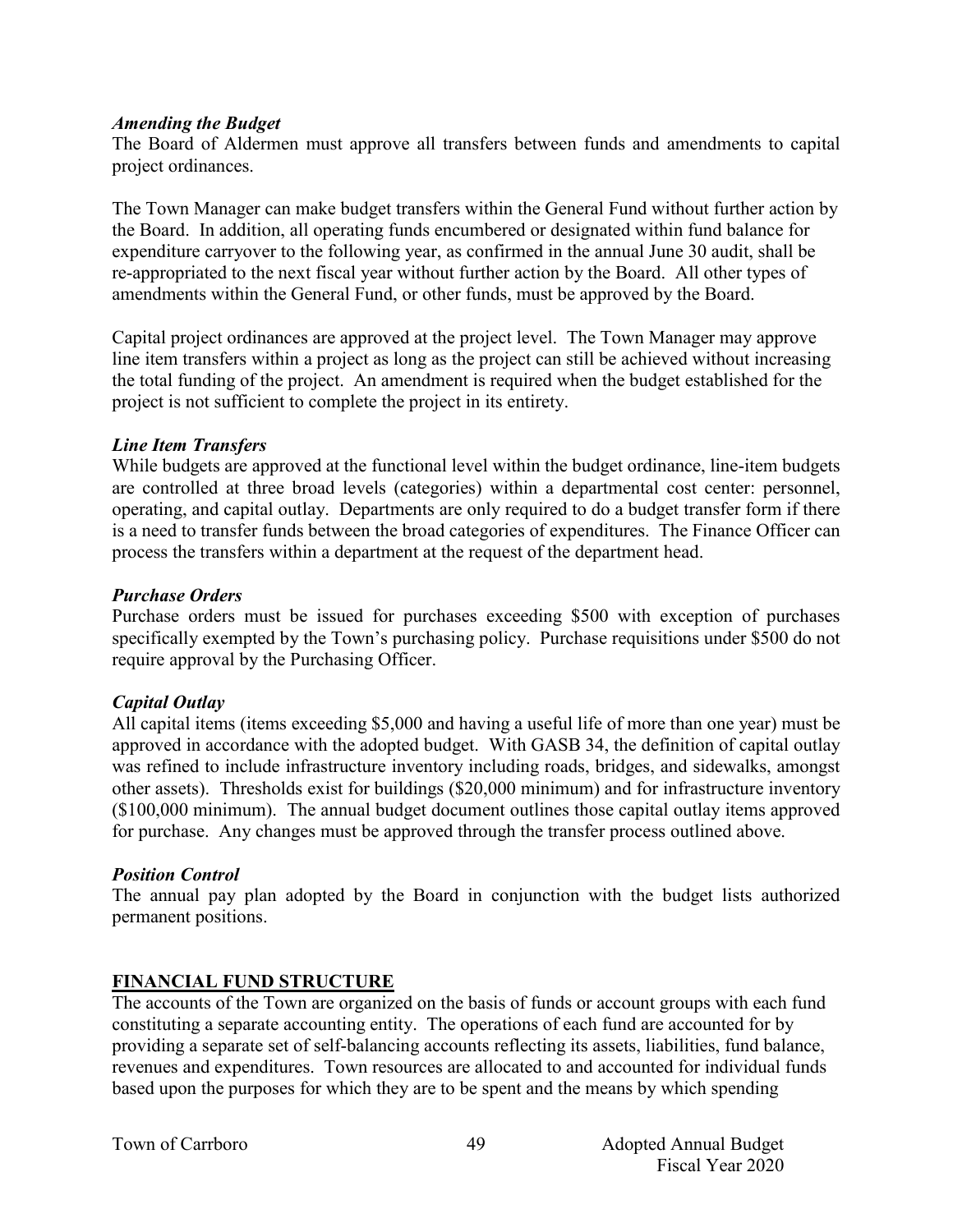#### *Amending the Budget*

The Board of Aldermen must approve all transfers between funds and amendments to capital project ordinances.

The Town Manager can make budget transfers within the General Fund without further action by the Board. In addition, all operating funds encumbered or designated within fund balance for expenditure carryover to the following year, as confirmed in the annual June 30 audit, shall be re-appropriated to the next fiscal year without further action by the Board. All other types of amendments within the General Fund, or other funds, must be approved by the Board.

Capital project ordinances are approved at the project level. The Town Manager may approve line item transfers within a project as long as the project can still be achieved without increasing the total funding of the project. An amendment is required when the budget established for the project is not sufficient to complete the project in its entirety.

#### *Line Item Transfers*

While budgets are approved at the functional level within the budget ordinance, line-item budgets are controlled at three broad levels (categories) within a departmental cost center: personnel, operating, and capital outlay. Departments are only required to do a budget transfer form if there is a need to transfer funds between the broad categories of expenditures. The Finance Officer can process the transfers within a department at the request of the department head.

#### *Purchase Orders*

Purchase orders must be issued for purchases exceeding \$500 with exception of purchases specifically exempted by the Town's purchasing policy. Purchase requisitions under \$500 do not require approval by the Purchasing Officer.

#### *Capital Outlay*

All capital items (items exceeding \$5,000 and having a useful life of more than one year) must be approved in accordance with the adopted budget. With GASB 34, the definition of capital outlay was refined to include infrastructure inventory including roads, bridges, and sidewalks, amongst other assets). Thresholds exist for buildings (\$20,000 minimum) and for infrastructure inventory (\$100,000 minimum). The annual budget document outlines those capital outlay items approved for purchase. Any changes must be approved through the transfer process outlined above.

#### *Position Control*

The annual pay plan adopted by the Board in conjunction with the budget lists authorized permanent positions.

#### **FINANCIAL FUND STRUCTURE**

The accounts of the Town are organized on the basis of funds or account groups with each fund constituting a separate accounting entity. The operations of each fund are accounted for by providing a separate set of self-balancing accounts reflecting its assets, liabilities, fund balance, revenues and expenditures. Town resources are allocated to and accounted for individual funds based upon the purposes for which they are to be spent and the means by which spending